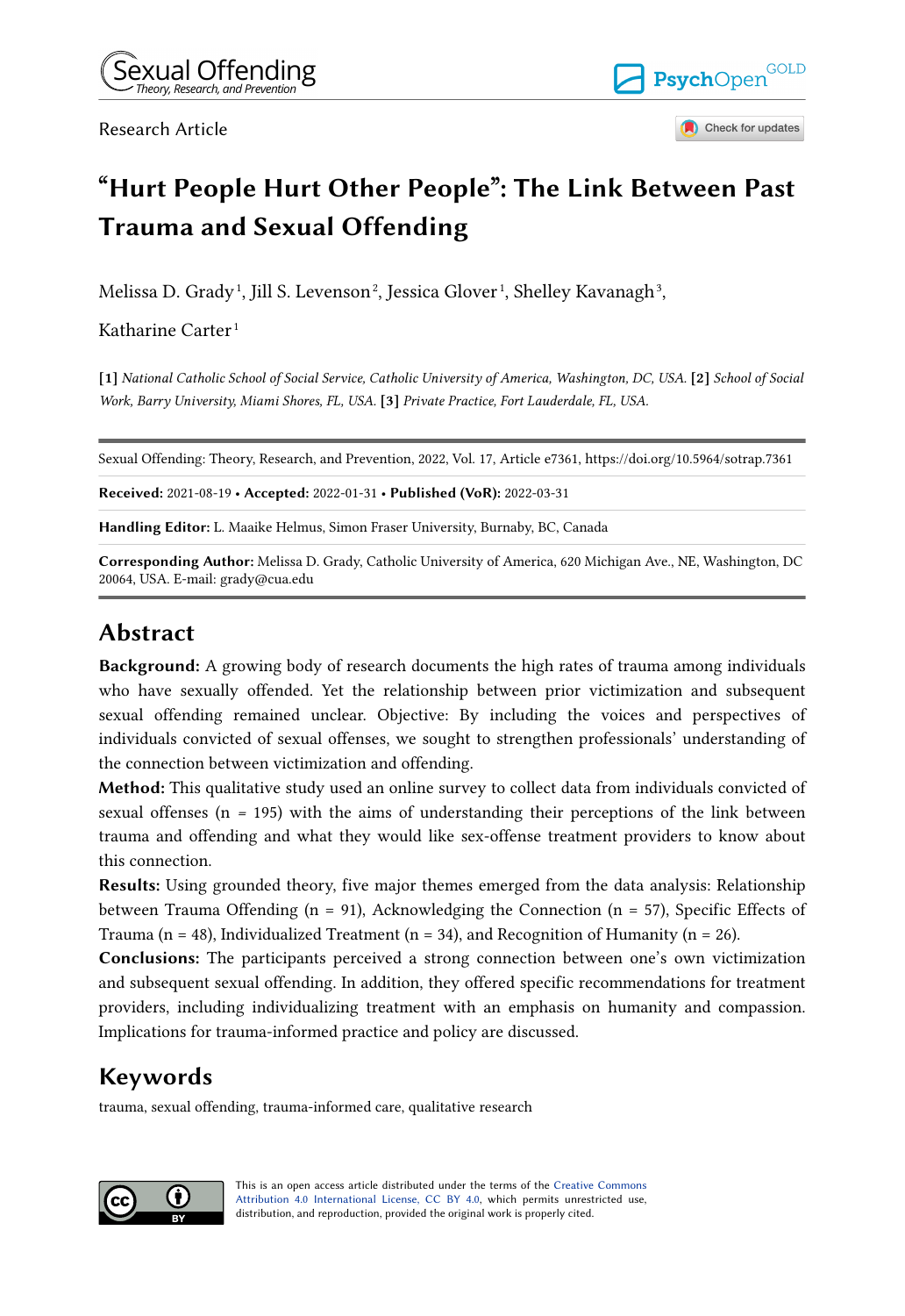Research Article



Check for updates

# **"Hurt People Hurt Other People": The Link Between Past Trauma and Sexual Offending**

Melissa D. Grady<sup>1</sup>, Jill S. Levenson<sup>2</sup>, Jessica Glover<sup>1</sup>, Shelley Kavanagh<sup>3</sup>,

Katharine Carter<sup>1</sup>

**[1]** *National Catholic School of Social Service, Catholic University of America, Washington, DC, USA.* **[2]** *School of Social Work, Barry University, Miami Shores, FL, USA.* **[3]** *Private Practice, Fort Lauderdale, FL, USA.* 

Sexual Offending: Theory, Research, and Prevention, 2022, Vol. 17, Article e7361, https://doi.org/10.5964/sotrap.7361

**Received:** 2021-08-19 • **Accepted:** 2022-01-31 • **Published (VoR):** 2022-03-31

**Handling Editor:** L. Maaike Helmus, Simon Fraser University, Burnaby, BC, Canada

**Corresponding Author:** Melissa D. Grady, Catholic University of America, 620 Michigan Ave., NE, Washington, DC 20064, USA. E-mail: grady@cua.edu

# **Abstract**

**Background:** A growing body of research documents the high rates of trauma among individuals who have sexually offended. Yet the relationship between prior victimization and subsequent sexual offending remained unclear. Objective: By including the voices and perspectives of individuals convicted of sexual offenses, we sought to strengthen professionals' understanding of the connection between victimization and offending.

**Method:** This qualitative study used an online survey to collect data from individuals convicted of sexual offenses (n *=* 195) with the aims of understanding their perceptions of the link between trauma and offending and what they would like sex-offense treatment providers to know about this connection.

**Results:** Using grounded theory, five major themes emerged from the data analysis: Relationship between Trauma Offending ( $n = 91$ ), Acknowledging the Connection ( $n = 57$ ), Specific Effects of Trauma ( $n = 48$ ), Individualized Treatment ( $n = 34$ ), and Recognition of Humanity ( $n = 26$ ).

**Conclusions:** The participants perceived a strong connection between one's own victimization and subsequent sexual offending. In addition, they offered specific recommendations for treatment providers, including individualizing treatment with an emphasis on humanity and compassion. Implications for trauma-informed practice and policy are discussed.

# **Keywords**

trauma, sexual offending, trauma-informed care, qualitative research



This is an open access article distributed under the terms of the [Creative Commons](https://creativecommons.org/licenses/by/4.0/) [Attribution 4.0 International License, CC BY 4.0](https://creativecommons.org/licenses/by/4.0/), which permits unrestricted use, distribution, and reproduction, provided the original work is properly cited.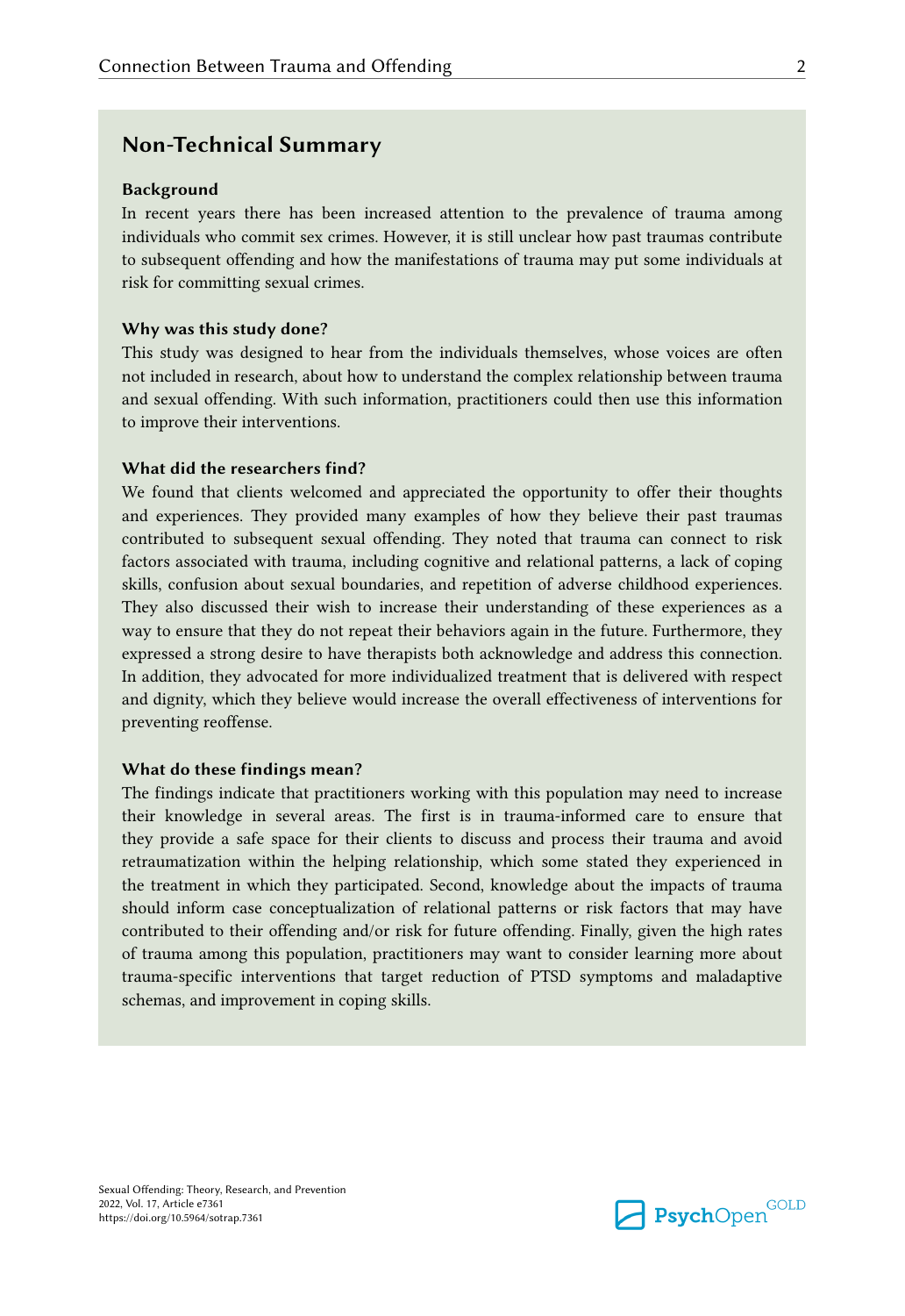## **Non-Technical Summary**

### **Background**

In recent years there has been increased attention to the prevalence of trauma among individuals who commit sex crimes. However, it is still unclear how past traumas contribute to subsequent offending and how the manifestations of trauma may put some individuals at risk for committing sexual crimes.

#### **Why was this study done?**

This study was designed to hear from the individuals themselves, whose voices are often not included in research, about how to understand the complex relationship between trauma and sexual offending. With such information, practitioners could then use this information to improve their interventions.

### **What did the researchers find?**

We found that clients welcomed and appreciated the opportunity to offer their thoughts and experiences. They provided many examples of how they believe their past traumas contributed to subsequent sexual offending. They noted that trauma can connect to risk factors associated with trauma, including cognitive and relational patterns, a lack of coping skills, confusion about sexual boundaries, and repetition of adverse childhood experiences. They also discussed their wish to increase their understanding of these experiences as a way to ensure that they do not repeat their behaviors again in the future. Furthermore, they expressed a strong desire to have therapists both acknowledge and address this connection. In addition, they advocated for more individualized treatment that is delivered with respect and dignity, which they believe would increase the overall effectiveness of interventions for preventing reoffense.

### **What do these findings mean?**

The findings indicate that practitioners working with this population may need to increase their knowledge in several areas. The first is in trauma-informed care to ensure that they provide a safe space for their clients to discuss and process their trauma and avoid retraumatization within the helping relationship, which some stated they experienced in the treatment in which they participated. Second, knowledge about the impacts of trauma should inform case conceptualization of relational patterns or risk factors that may have contributed to their offending and/or risk for future offending. Finally, given the high rates of trauma among this population, practitioners may want to consider learning more about trauma-specific interventions that target reduction of PTSD symptoms and maladaptive schemas, and improvement in coping skills.

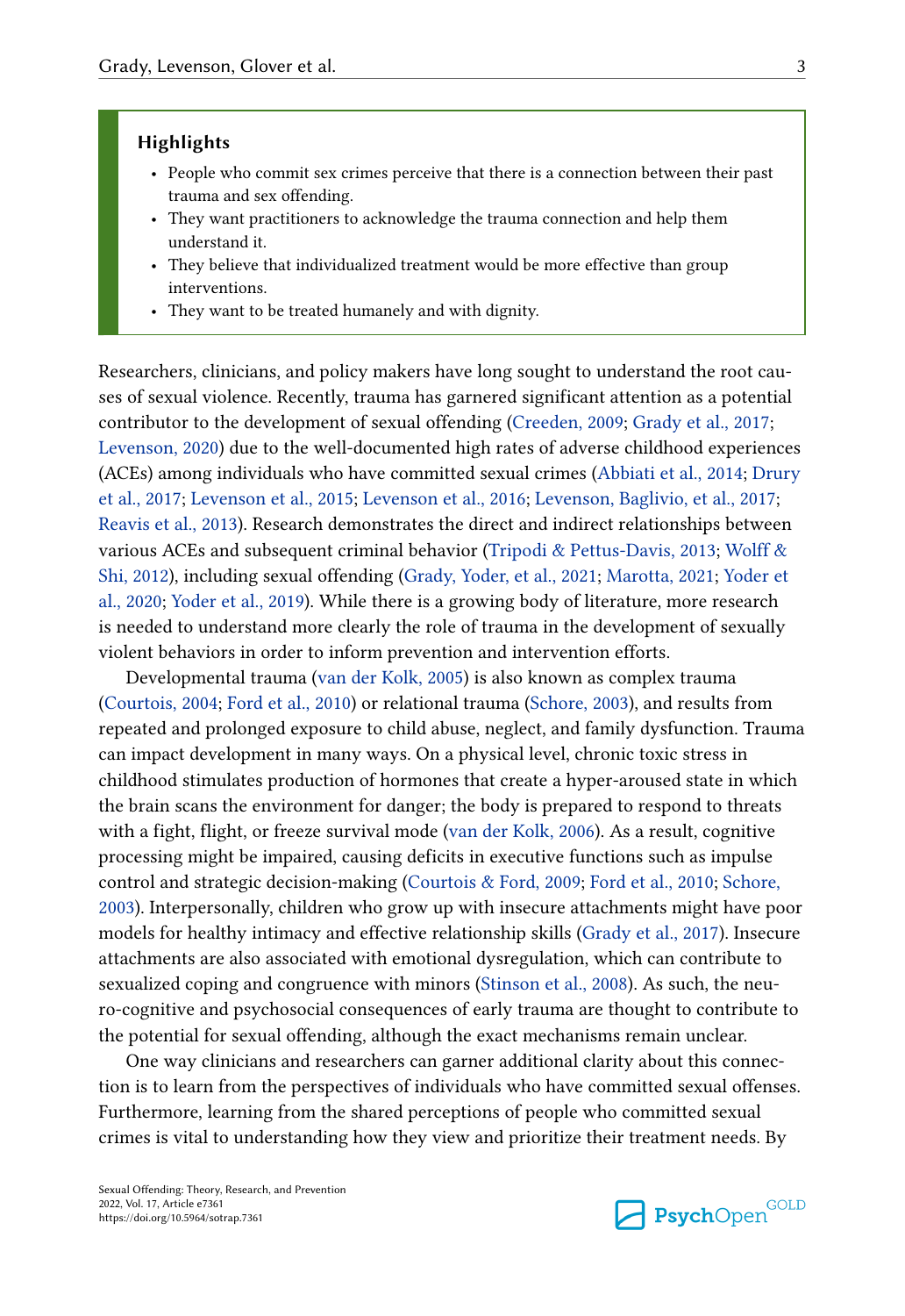### **Highlights**

- People who commit sex crimes perceive that there is a connection between their past trauma and sex offending.
- They want practitioners to acknowledge the trauma connection and help them understand it.
- They believe that individualized treatment would be more effective than group interventions.
- They want to be treated humanely and with dignity.

Researchers, clinicians, and policy makers have long sought to understand the root causes of sexual violence. Recently, trauma has garnered significant attention as a potential contributor to the development of sexual offending [\(Creeden, 2009](#page-21-0); [Grady et al., 2017](#page-22-0); [Levenson, 2020](#page-23-0)) due to the well-documented high rates of adverse childhood experiences (ACEs) among individuals who have committed sexual crimes ([Abbiati et al., 2014](#page-20-0); [Drury](#page-22-0) [et al., 2017;](#page-22-0) [Levenson et al., 2015;](#page-24-0) [Levenson et al., 2016;](#page-24-0) [Levenson, Baglivio, et al., 2017](#page-23-0); [Reavis et al., 2013\)](#page-25-0). Research demonstrates the direct and indirect relationships between various ACEs and subsequent criminal behavior ([Tripodi & Pettus-Davis, 2013](#page-26-0); [Wolff &](#page-27-0) [Shi, 2012](#page-27-0)), including sexual offending [\(Grady, Yoder, et al., 2021;](#page-22-0) [Marotta, 2021;](#page-24-0) [Yoder et](#page-27-0)  [al., 2020;](#page-27-0) [Yoder et al., 2019](#page-27-0)). While there is a growing body of literature, more research is needed to understand more clearly the role of trauma in the development of sexually violent behaviors in order to inform prevention and intervention efforts.

Developmental trauma [\(van der Kolk, 2005\)](#page-26-0) is also known as complex trauma [\(Courtois, 2004;](#page-21-0) [Ford et al., 2010](#page-22-0)) or relational trauma [\(Schore, 2003](#page-25-0)), and results from repeated and prolonged exposure to child abuse, neglect, and family dysfunction. Trauma can impact development in many ways. On a physical level, chronic toxic stress in childhood stimulates production of hormones that create a hyper-aroused state in which the brain scans the environment for danger; the body is prepared to respond to threats with a fight, flight, or freeze survival mode [\(van der Kolk, 2006\)](#page-26-0). As a result, cognitive processing might be impaired, causing deficits in executive functions such as impulse control and strategic decision-making [\(Courtois & Ford, 2009](#page-21-0); [Ford et al., 2010](#page-22-0); [Schore,](#page-25-0)  [2003\)](#page-25-0). Interpersonally, children who grow up with insecure attachments might have poor models for healthy intimacy and effective relationship skills [\(Grady et al., 2017\)](#page-22-0). Insecure attachments are also associated with emotional dysregulation, which can contribute to sexualized coping and congruence with minors ([Stinson et al., 2008\)](#page-25-0). As such, the neuro-cognitive and psychosocial consequences of early trauma are thought to contribute to the potential for sexual offending, although the exact mechanisms remain unclear.

One way clinicians and researchers can garner additional clarity about this connection is to learn from the perspectives of individuals who have committed sexual offenses. Furthermore, learning from the shared perceptions of people who committed sexual crimes is vital to understanding how they view and prioritize their treatment needs. By

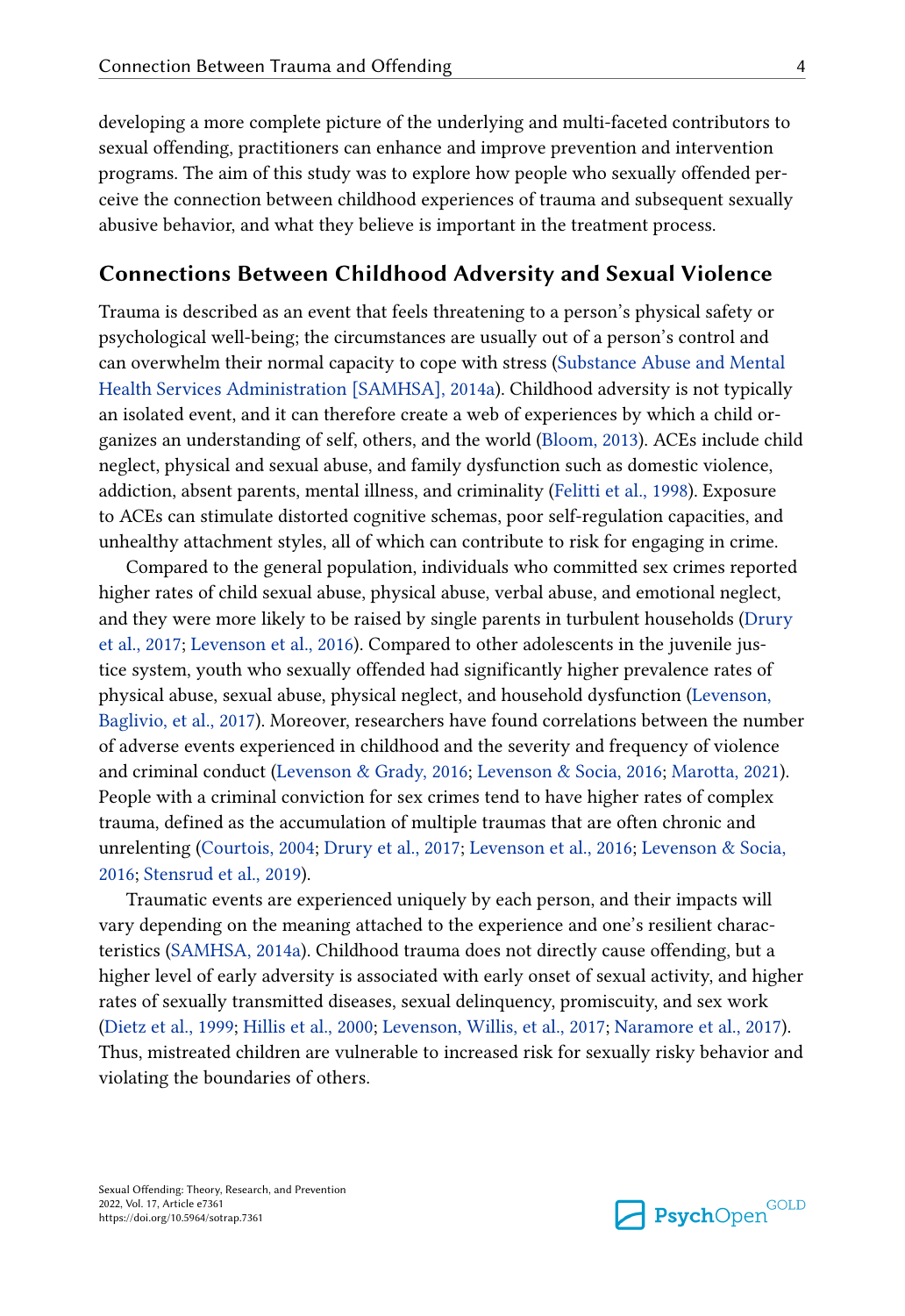developing a more complete picture of the underlying and multi-faceted contributors to sexual offending, practitioners can enhance and improve prevention and intervention programs. The aim of this study was to explore how people who sexually offended perceive the connection between childhood experiences of trauma and subsequent sexually abusive behavior, and what they believe is important in the treatment process.

### **Connections Between Childhood Adversity and Sexual Violence**

Trauma is described as an event that feels threatening to a person's physical safety or psychological well-being; the circumstances are usually out of a person's control and can overwhelm their normal capacity to cope with stress [\(Substance Abuse and Mental](#page-25-0) [Health Services Administration \[SAMHSA\], 2014a](#page-25-0)). Childhood adversity is not typically an isolated event, and it can therefore create a web of experiences by which a child organizes an understanding of self, others, and the world [\(Bloom, 2013](#page-20-0)). ACEs include child neglect, physical and sexual abuse, and family dysfunction such as domestic violence, addiction, absent parents, mental illness, and criminality ([Felitti et al., 1998\)](#page-22-0). Exposure to ACEs can stimulate distorted cognitive schemas, poor self-regulation capacities, and unhealthy attachment styles, all of which can contribute to risk for engaging in crime.

Compared to the general population, individuals who committed sex crimes reported higher rates of child sexual abuse, physical abuse, verbal abuse, and emotional neglect, and they were more likely to be raised by single parents in turbulent households [\(Drury](#page-22-0) [et al., 2017;](#page-22-0) [Levenson et al., 2016\)](#page-24-0). Compared to other adolescents in the juvenile justice system, youth who sexually offended had significantly higher prevalence rates of physical abuse, sexual abuse, physical neglect, and household dysfunction ([Levenson,](#page-23-0)  [Baglivio, et al., 2017\)](#page-23-0). Moreover, researchers have found correlations between the number of adverse events experienced in childhood and the severity and frequency of violence and criminal conduct [\(Levenson & Grady, 2016;](#page-23-0) [Levenson & Socia, 2016; Marotta, 2021](#page-24-0)). People with a criminal conviction for sex crimes tend to have higher rates of complex trauma, defined as the accumulation of multiple traumas that are often chronic and unrelenting [\(Courtois, 2004;](#page-21-0) [Drury et al., 2017](#page-22-0); [Levenson et al., 2016](#page-24-0); [Levenson & Socia,](#page-24-0)  [2016;](#page-24-0) [Stensrud et al., 2019\)](#page-25-0).

Traumatic events are experienced uniquely by each person, and their impacts will vary depending on the meaning attached to the experience and one's resilient characteristics ([SAMHSA, 2014a\)](#page-25-0). Childhood trauma does not directly cause offending, but a higher level of early adversity is associated with early onset of sexual activity, and higher rates of sexually transmitted diseases, sexual delinquency, promiscuity, and sex work [\(Dietz et al., 1999;](#page-21-0) [Hillis et al., 2000](#page-23-0); [Levenson, Willis, et al., 2017](#page-24-0); [Naramore et al., 2017](#page-24-0)). Thus, mistreated children are vulnerable to increased risk for sexually risky behavior and violating the boundaries of others.

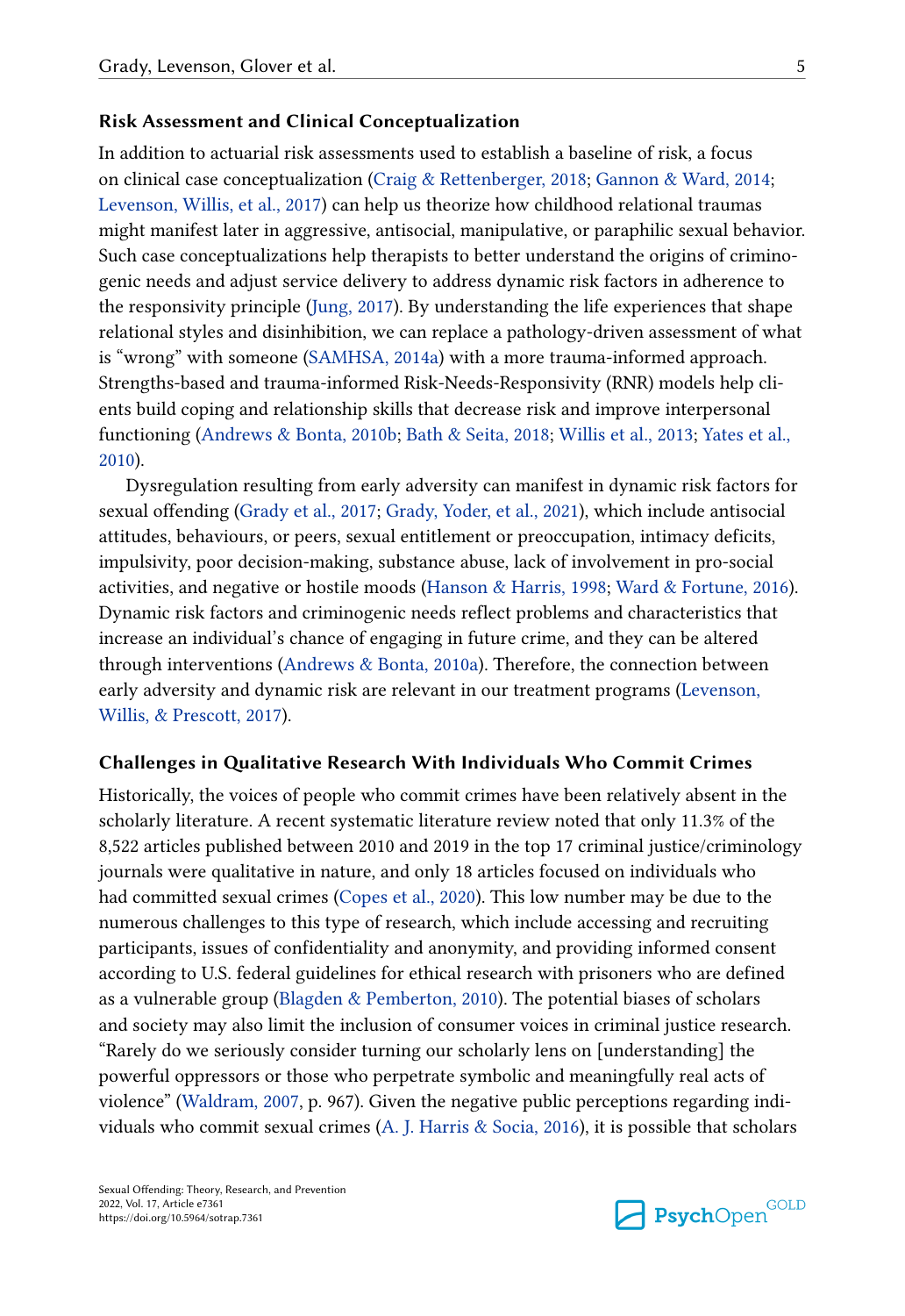### **Risk Assessment and Clinical Conceptualization**

In addition to actuarial risk assessments used to establish a baseline of risk, a focus on clinical case conceptualization [\(Craig & Rettenberger, 2018](#page-21-0); [Gannon & Ward, 2014](#page-22-0); [Levenson, Willis, et al., 2017](#page-24-0)) can help us theorize how childhood relational traumas might manifest later in aggressive, antisocial, manipulative, or paraphilic sexual behavior. Such case conceptualizations help therapists to better understand the origins of criminogenic needs and adjust service delivery to address dynamic risk factors in adherence to the responsivity principle [\(Jung, 2017](#page-23-0)). By understanding the life experiences that shape relational styles and disinhibition, we can replace a pathology-driven assessment of what is "wrong" with someone ([SAMHSA, 2014a\)](#page-25-0) with a more trauma-informed approach. Strengths-based and trauma-informed Risk-Needs-Responsivity (RNR) models help clients build coping and relationship skills that decrease risk and improve interpersonal functioning [\(Andrews & Bonta, 2010b](#page-20-0); [Bath & Seita, 2018](#page-20-0); [Willis et al., 2013;](#page-26-0) [Yates et al.,](#page-27-0)  [2010\)](#page-27-0).

Dysregulation resulting from early adversity can manifest in dynamic risk factors for sexual offending [\(Grady et al., 2017;](#page-22-0) [Grady, Yoder, et al., 2021](#page-22-0)), which include antisocial attitudes, behaviours, or peers, sexual entitlement or preoccupation, intimacy deficits, impulsivity, poor decision-making, substance abuse, lack of involvement in pro-social activities, and negative or hostile moods ([Hanson & Harris, 1998;](#page-23-0) [Ward & Fortune, 2016\)](#page-26-0). Dynamic risk factors and criminogenic needs reflect problems and characteristics that increase an individual's chance of engaging in future crime, and they can be altered through interventions ([Andrews & Bonta, 2010a](#page-20-0)). Therefore, the connection between early adversity and dynamic risk are relevant in our treatment programs [\(Levenson,](#page-24-0) [Willis, & Prescott, 2017\)](#page-24-0).

#### **Challenges in Qualitative Research With Individuals Who Commit Crimes**

Historically, the voices of people who commit crimes have been relatively absent in the scholarly literature. A recent systematic literature review noted that only 11.3% of the 8,522 articles published between 2010 and 2019 in the top 17 criminal justice/criminology journals were qualitative in nature, and only 18 articles focused on individuals who had committed sexual crimes [\(Copes et al., 2020\)](#page-21-0). This low number may be due to the numerous challenges to this type of research, which include accessing and recruiting participants, issues of confidentiality and anonymity, and providing informed consent according to U.S. federal guidelines for ethical research with prisoners who are defined as a vulnerable group [\(Blagden & Pemberton, 2010](#page-20-0)). The potential biases of scholars and society may also limit the inclusion of consumer voices in criminal justice research. "Rarely do we seriously consider turning our scholarly lens on [understanding] the powerful oppressors or those who perpetrate symbolic and meaningfully real acts of violence" [\(Waldram, 2007,](#page-26-0) p. 967). Given the negative public perceptions regarding individuals who commit sexual crimes [\(A. J. Harris & Socia, 2016\)](#page-23-0), it is possible that scholars

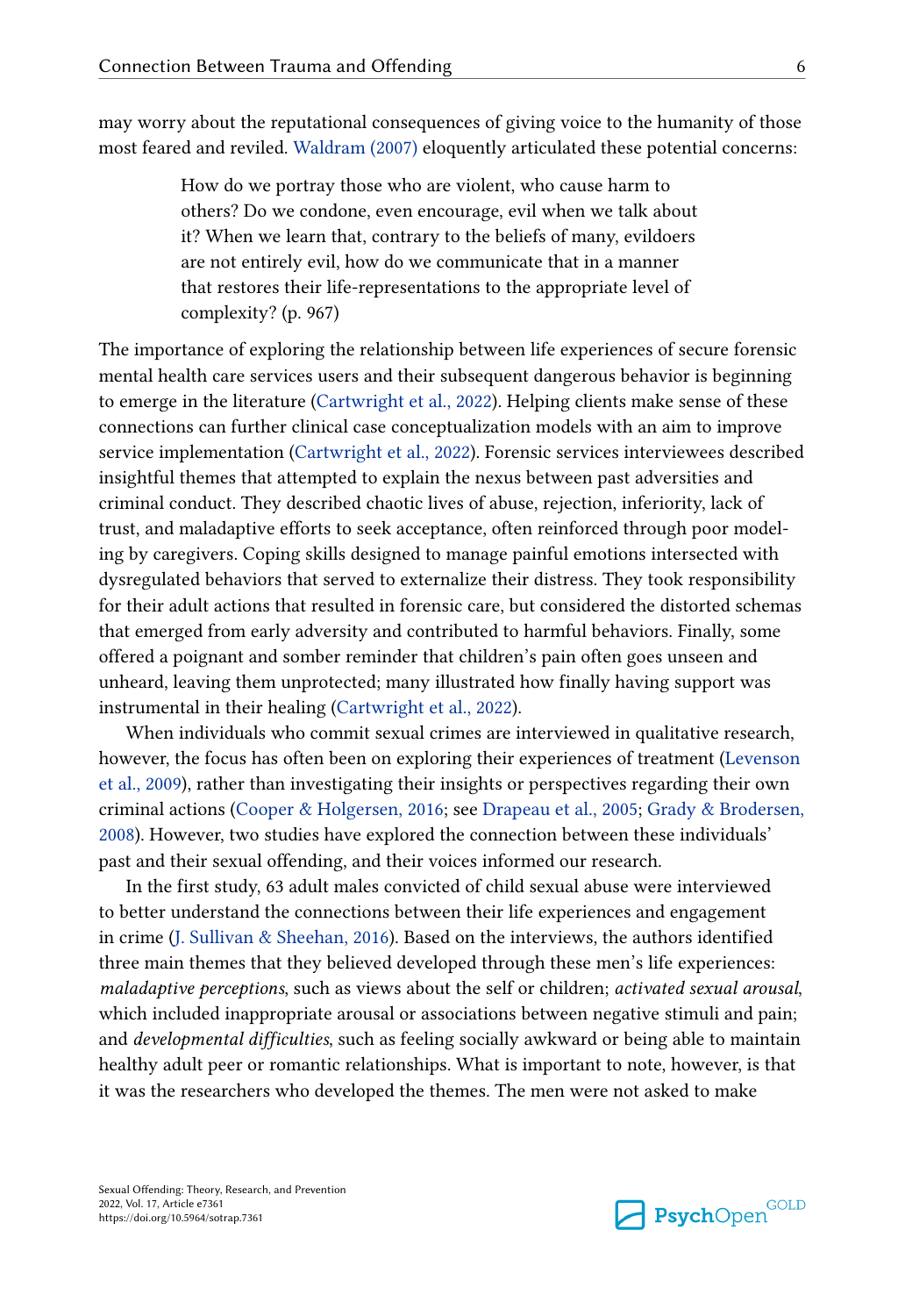may worry about the reputational consequences of giving voice to the humanity of those most feared and reviled. [Waldram \(2007\)](#page-26-0) eloquently articulated these potential concerns:

> How do we portray those who are violent, who cause harm to others? Do we condone, even encourage, evil when we talk about it? When we learn that, contrary to the beliefs of many, evildoers are not entirely evil, how do we communicate that in a manner that restores their life-representations to the appropriate level of complexity? (p. 967)

The importance of exploring the relationship between life experiences of secure forensic mental health care services users and their subsequent dangerous behavior is beginning to emerge in the literature ([Cartwright et al., 2022](#page-20-0)). Helping clients make sense of these connections can further clinical case conceptualization models with an aim to improve service implementation [\(Cartwright et al., 2022](#page-20-0)). Forensic services interviewees described insightful themes that attempted to explain the nexus between past adversities and criminal conduct. They described chaotic lives of abuse, rejection, inferiority, lack of trust, and maladaptive efforts to seek acceptance, often reinforced through poor modeling by caregivers. Coping skills designed to manage painful emotions intersected with dysregulated behaviors that served to externalize their distress. They took responsibility for their adult actions that resulted in forensic care, but considered the distorted schemas that emerged from early adversity and contributed to harmful behaviors. Finally, some offered a poignant and somber reminder that children's pain often goes unseen and unheard, leaving them unprotected; many illustrated how finally having support was instrumental in their healing [\(Cartwright et al., 2022\)](#page-20-0).

When individuals who commit sexual crimes are interviewed in qualitative research, however, the focus has often been on exploring their experiences of treatment [\(Levenson](#page-23-0)  [et al., 2009\)](#page-23-0), rather than investigating their insights or perspectives regarding their own criminal actions [\(Cooper & Holgersen, 2016](#page-21-0); see [Drapeau et al., 2005;](#page-21-0) [Grady & Brodersen,](#page-22-0) [2008\)](#page-22-0). However, two studies have explored the connection between these individuals' past and their sexual offending, and their voices informed our research.

In the first study, 63 adult males convicted of child sexual abuse were interviewed to better understand the connections between their life experiences and engagement in crime [\(J. Sullivan & Sheehan, 2016](#page-26-0)). Based on the interviews, the authors identified three main themes that they believed developed through these men's life experiences: *maladaptive perceptions*, such as views about the self or children; *activated sexual arousal*, which included inappropriate arousal or associations between negative stimuli and pain; and *developmental difficulties*, such as feeling socially awkward or being able to maintain healthy adult peer or romantic relationships. What is important to note, however, is that it was the researchers who developed the themes. The men were not asked to make

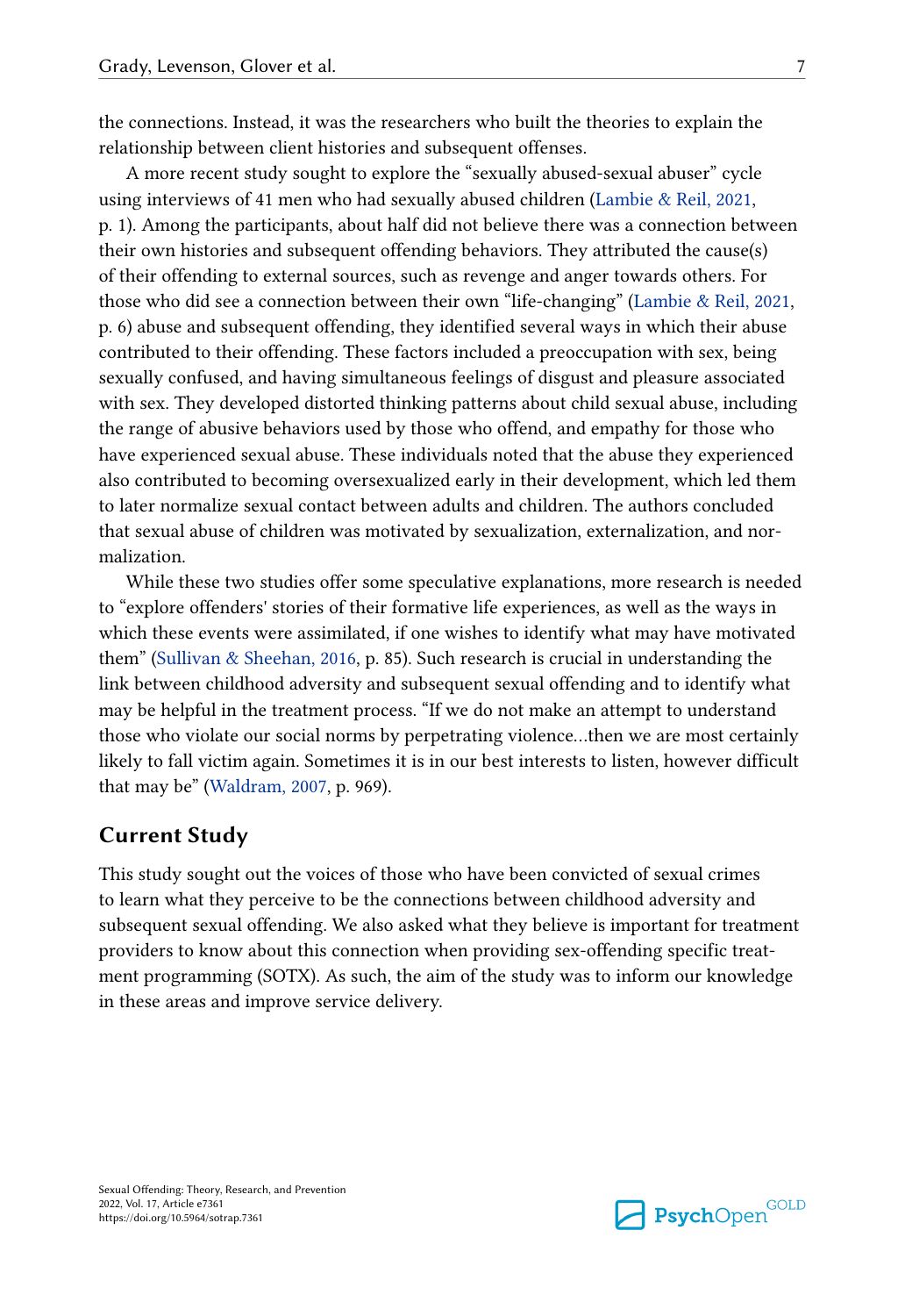the connections. Instead, it was the researchers who built the theories to explain the relationship between client histories and subsequent offenses.

A more recent study sought to explore the "sexually abused-sexual abuser" cycle using interviews of 41 men who had sexually abused children ([Lambie & Reil, 2021,](#page-23-0) p. 1). Among the participants, about half did not believe there was a connection between their own histories and subsequent offending behaviors. They attributed the cause(s) of their offending to external sources, such as revenge and anger towards others. For those who did see a connection between their own "life-changing" ([Lambie & Reil, 2021,](#page-23-0) p. 6) abuse and subsequent offending, they identified several ways in which their abuse contributed to their offending. These factors included a preoccupation with sex, being sexually confused, and having simultaneous feelings of disgust and pleasure associated with sex. They developed distorted thinking patterns about child sexual abuse, including the range of abusive behaviors used by those who offend, and empathy for those who have experienced sexual abuse. These individuals noted that the abuse they experienced also contributed to becoming oversexualized early in their development, which led them to later normalize sexual contact between adults and children. The authors concluded that sexual abuse of children was motivated by sexualization, externalization, and normalization.

While these two studies offer some speculative explanations, more research is needed to "explore offenders' stories of their formative life experiences, as well as the ways in which these events were assimilated, if one wishes to identify what may have motivated them" [\(Sullivan & Sheehan, 2016](#page-26-0), p. 85). Such research is crucial in understanding the link between childhood adversity and subsequent sexual offending and to identify what may be helpful in the treatment process. "If we do not make an attempt to understand those who violate our social norms by perpetrating violence…then we are most certainly likely to fall victim again. Sometimes it is in our best interests to listen, however difficult that may be" [\(Waldram, 2007](#page-26-0), p. 969).

### **Current Study**

This study sought out the voices of those who have been convicted of sexual crimes to learn what they perceive to be the connections between childhood adversity and subsequent sexual offending. We also asked what they believe is important for treatment providers to know about this connection when providing sex-offending specific treatment programming (SOTX). As such, the aim of the study was to inform our knowledge in these areas and improve service delivery.

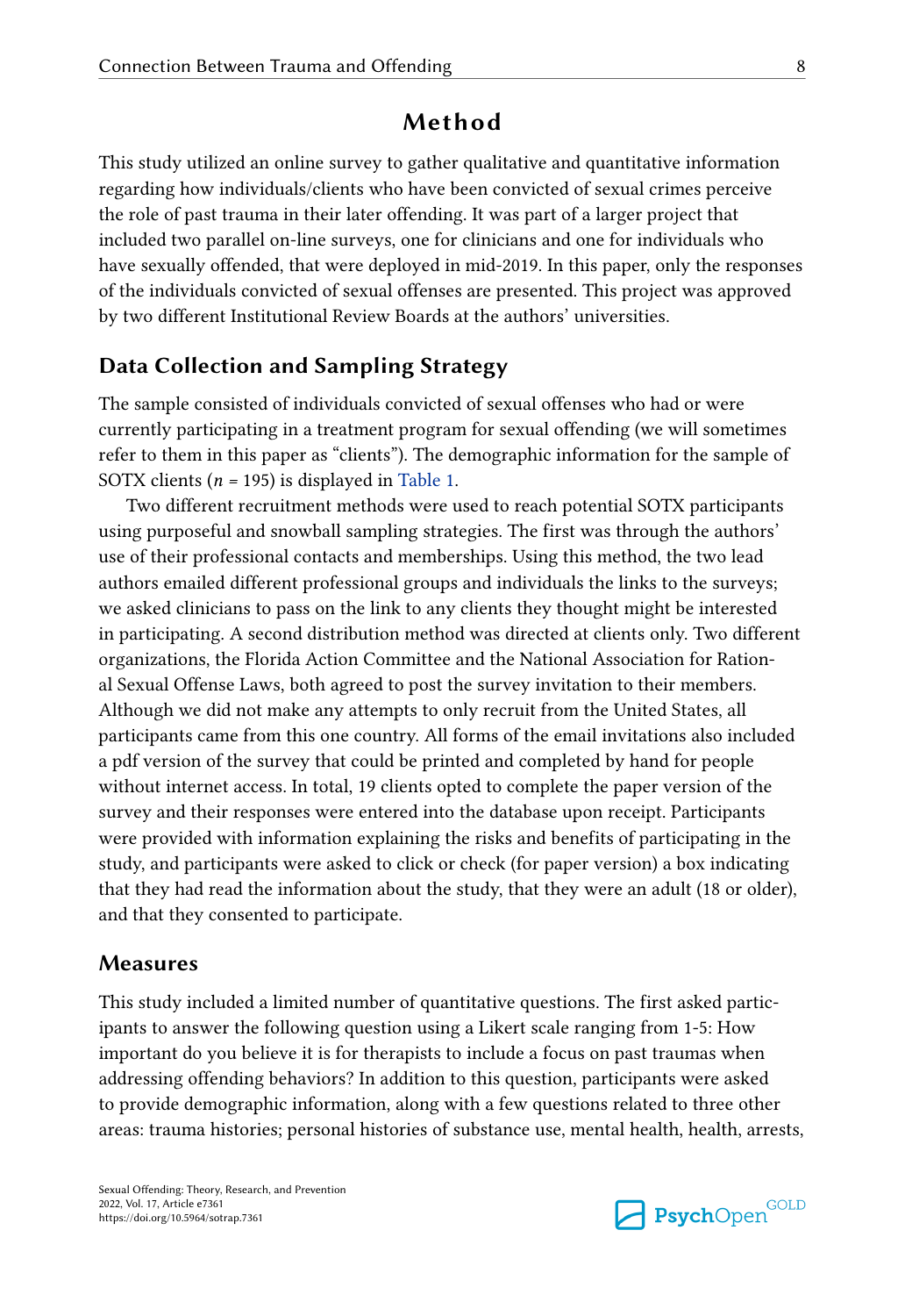# **Method**

This study utilized an online survey to gather qualitative and quantitative information regarding how individuals/clients who have been convicted of sexual crimes perceive the role of past trauma in their later offending. It was part of a larger project that included two parallel on-line surveys, one for clinicians and one for individuals who have sexually offended, that were deployed in mid-2019. In this paper, only the responses of the individuals convicted of sexual offenses are presented. This project was approved by two different Institutional Review Boards at the authors' universities.

# **Data Collection and Sampling Strategy**

The sample consisted of individuals convicted of sexual offenses who had or were currently participating in a treatment program for sexual offending (we will sometimes refer to them in this paper as "clients"). The demographic information for the sample of SOTX clients (*n =* 195) is displayed in [Table 1](#page-8-0).

Two different recruitment methods were used to reach potential SOTX participants using purposeful and snowball sampling strategies. The first was through the authors' use of their professional contacts and memberships. Using this method, the two lead authors emailed different professional groups and individuals the links to the surveys; we asked clinicians to pass on the link to any clients they thought might be interested in participating. A second distribution method was directed at clients only. Two different organizations, the Florida Action Committee and the National Association for Rational Sexual Offense Laws, both agreed to post the survey invitation to their members. Although we did not make any attempts to only recruit from the United States, all participants came from this one country. All forms of the email invitations also included a pdf version of the survey that could be printed and completed by hand for people without internet access. In total, 19 clients opted to complete the paper version of the survey and their responses were entered into the database upon receipt. Participants were provided with information explaining the risks and benefits of participating in the study, and participants were asked to click or check (for paper version) a box indicating that they had read the information about the study, that they were an adult (18 or older), and that they consented to participate.

## **Measures**

This study included a limited number of quantitative questions. The first asked participants to answer the following question using a Likert scale ranging from 1-5: How important do you believe it is for therapists to include a focus on past traumas when addressing offending behaviors? In addition to this question, participants were asked to provide demographic information, along with a few questions related to three other areas: trauma histories; personal histories of substance use, mental health, health, arrests,

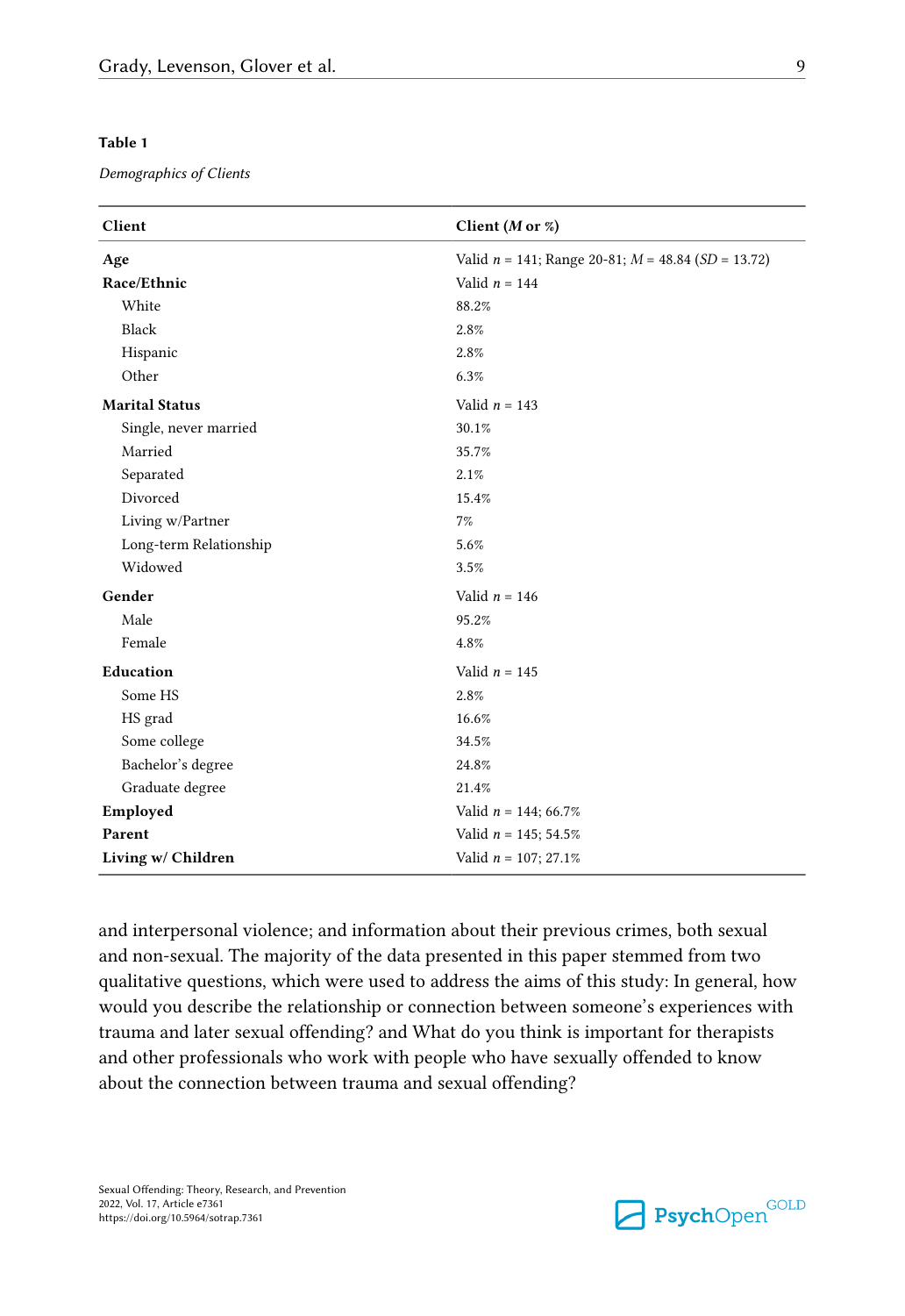### <span id="page-8-0"></span>**Table 1**

#### *Demographics of Clients*

| Client                 | Client ( <i>M</i> or $\%)$                              |
|------------------------|---------------------------------------------------------|
| Age                    | Valid $n = 141$ ; Range 20-81; $M = 48.84$ (SD = 13.72) |
| Race/Ethnic            | Valid $n = 144$                                         |
| White                  | 88.2%                                                   |
| Black                  | 2.8%                                                    |
| Hispanic               | 2.8%                                                    |
| Other                  | 6.3%                                                    |
| <b>Marital Status</b>  | Valid $n = 143$                                         |
| Single, never married  | 30.1%                                                   |
| Married                | 35.7%                                                   |
| Separated              | 2.1%                                                    |
| Divorced               | 15.4%                                                   |
| Living w/Partner       | 7%                                                      |
| Long-term Relationship | 5.6%                                                    |
| Widowed                | 3.5%                                                    |
| Gender                 | Valid $n = 146$                                         |
| Male                   | 95.2%                                                   |
| Female                 | 4.8%                                                    |
| Education              | Valid $n = 145$                                         |
| Some HS                | 2.8%                                                    |
| HS grad                | 16.6%                                                   |
| Some college           | 34.5%                                                   |
| Bachelor's degree      | 24.8%                                                   |
| Graduate degree        | 21.4%                                                   |
| Employed               | Valid $n = 144$ ; 66.7%                                 |
| Parent                 | Valid $n = 145$ ; 54.5%                                 |
| Living w/ Children     | Valid $n = 107; 27.1%$                                  |

and interpersonal violence; and information about their previous crimes, both sexual and non-sexual. The majority of the data presented in this paper stemmed from two qualitative questions, which were used to address the aims of this study: In general, how would you describe the relationship or connection between someone's experiences with trauma and later sexual offending? and What do you think is important for therapists and other professionals who work with people who have sexually offended to know about the connection between trauma and sexual offending?

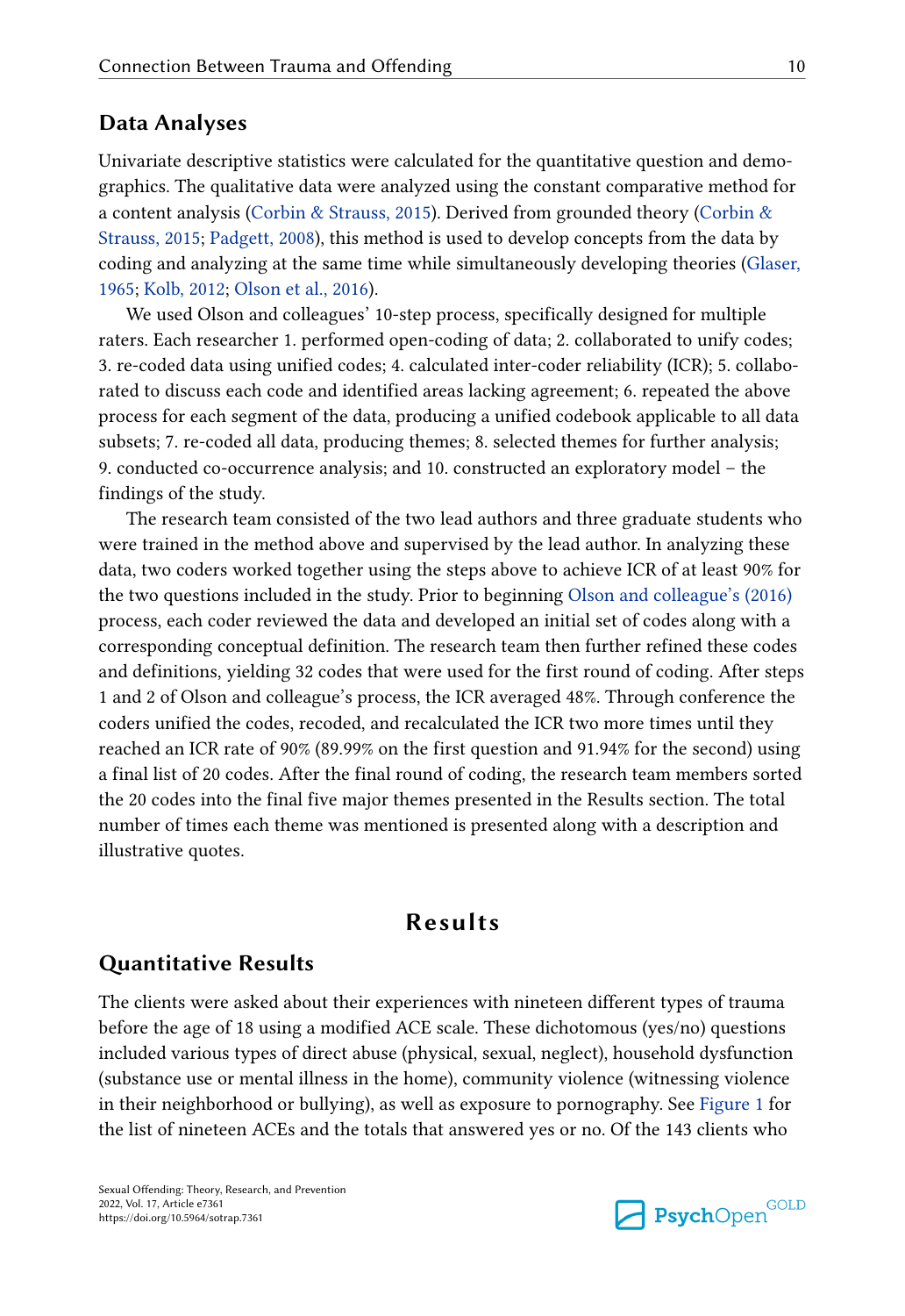# **Data Analyses**

Univariate descriptive statistics were calculated for the quantitative question and demographics. The qualitative data were analyzed using the constant comparative method for a content analysis ([Corbin & Strauss, 2015\)](#page-21-0). Derived from grounded theory ([Corbin &](#page-21-0)  [Strauss, 2015;](#page-21-0) [Padgett, 2008\)](#page-24-0), this method is used to develop concepts from the data by coding and analyzing at the same time while simultaneously developing theories [\(Glaser,](#page-22-0) [1965;](#page-22-0) [Kolb, 2012](#page-23-0); [Olson et al., 2016\)](#page-24-0).

We used Olson and colleagues' 10-step process, specifically designed for multiple raters. Each researcher 1. performed open-coding of data; 2. collaborated to unify codes; 3. re-coded data using unified codes; 4. calculated inter-coder reliability (ICR); 5. collaborated to discuss each code and identified areas lacking agreement; 6. repeated the above process for each segment of the data, producing a unified codebook applicable to all data subsets; 7. re-coded all data, producing themes; 8. selected themes for further analysis; 9. conducted co-occurrence analysis; and 10. constructed an exploratory model – the findings of the study.

The research team consisted of the two lead authors and three graduate students who were trained in the method above and supervised by the lead author. In analyzing these data, two coders worked together using the steps above to achieve ICR of at least 90% for the two questions included in the study. Prior to beginning [Olson and colleague's \(2016\)](#page-24-0)  process, each coder reviewed the data and developed an initial set of codes along with a corresponding conceptual definition. The research team then further refined these codes and definitions, yielding 32 codes that were used for the first round of coding. After steps 1 and 2 of Olson and colleague's process, the ICR averaged 48%. Through conference the coders unified the codes, recoded, and recalculated the ICR two more times until they reached an ICR rate of 90% (89.99% on the first question and 91.94% for the second) using a final list of 20 codes. After the final round of coding, the research team members sorted the 20 codes into the final five major themes presented in the Results section. The total number of times each theme was mentioned is presented along with a description and illustrative quotes.

# **Results**

# **Quantitative Results**

The clients were asked about their experiences with nineteen different types of trauma before the age of 18 using a modified ACE scale. These dichotomous (yes/no) questions included various types of direct abuse (physical, sexual, neglect), household dysfunction (substance use or mental illness in the home), community violence (witnessing violence in their neighborhood or bullying), as well as exposure to pornography. See [Figure 1](#page-10-0) for the list of nineteen ACEs and the totals that answered yes or no. Of the 143 clients who

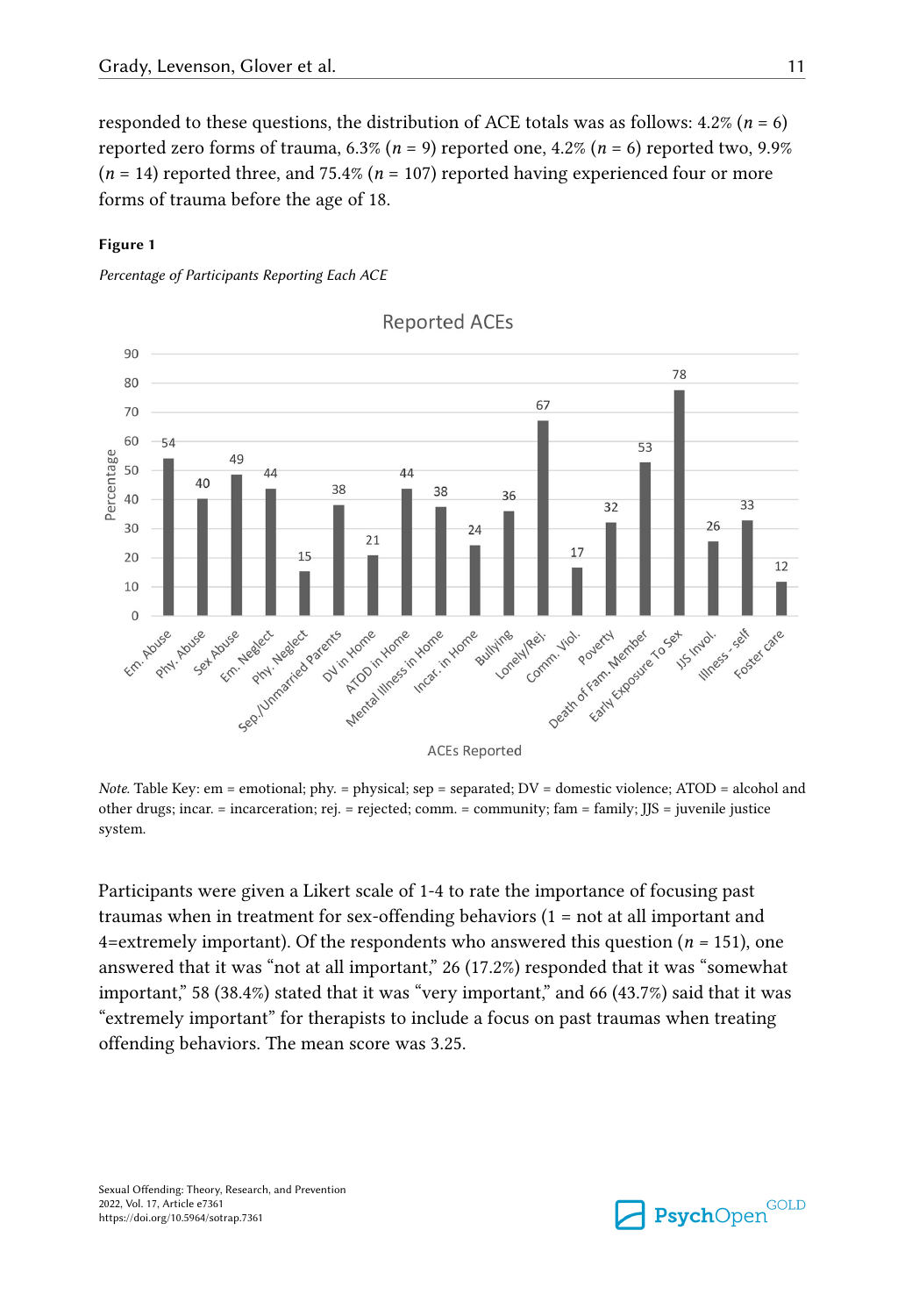<span id="page-10-0"></span>responded to these questions, the distribution of ACE totals was as follows:  $4.2\%$  ( $n = 6$ ) reported zero forms of trauma,  $6.3\%$  ( $n = 9$ ) reported one,  $4.2\%$  ( $n = 6$ ) reported two,  $9.9\%$ (*n* = 14) reported three, and 75.4% (*n* = 107) reported having experienced four or more forms of trauma before the age of 18.

### **Figure 1**

*Percentage of Participants Reporting Each ACE*



**Reported ACEs** 

*Note.* Table Key: em = emotional; phy. = physical; sep = separated; DV = domestic violence; ATOD = alcohol and other drugs; incar. = incarceration; rej. = rejected; comm. = community; fam = family; JJS = juvenile justice system.

Participants were given a Likert scale of 1-4 to rate the importance of focusing past traumas when in treatment for sex-offending behaviors (1 = not at all important and 4=extremely important). Of the respondents who answered this question (*n =* 151), one answered that it was "not at all important," 26 (17.2%) responded that it was "somewhat important," 58 (38.4%) stated that it was "very important," and 66 (43.7%) said that it was "extremely important" for therapists to include a focus on past traumas when treating offending behaviors. The mean score was 3.25.

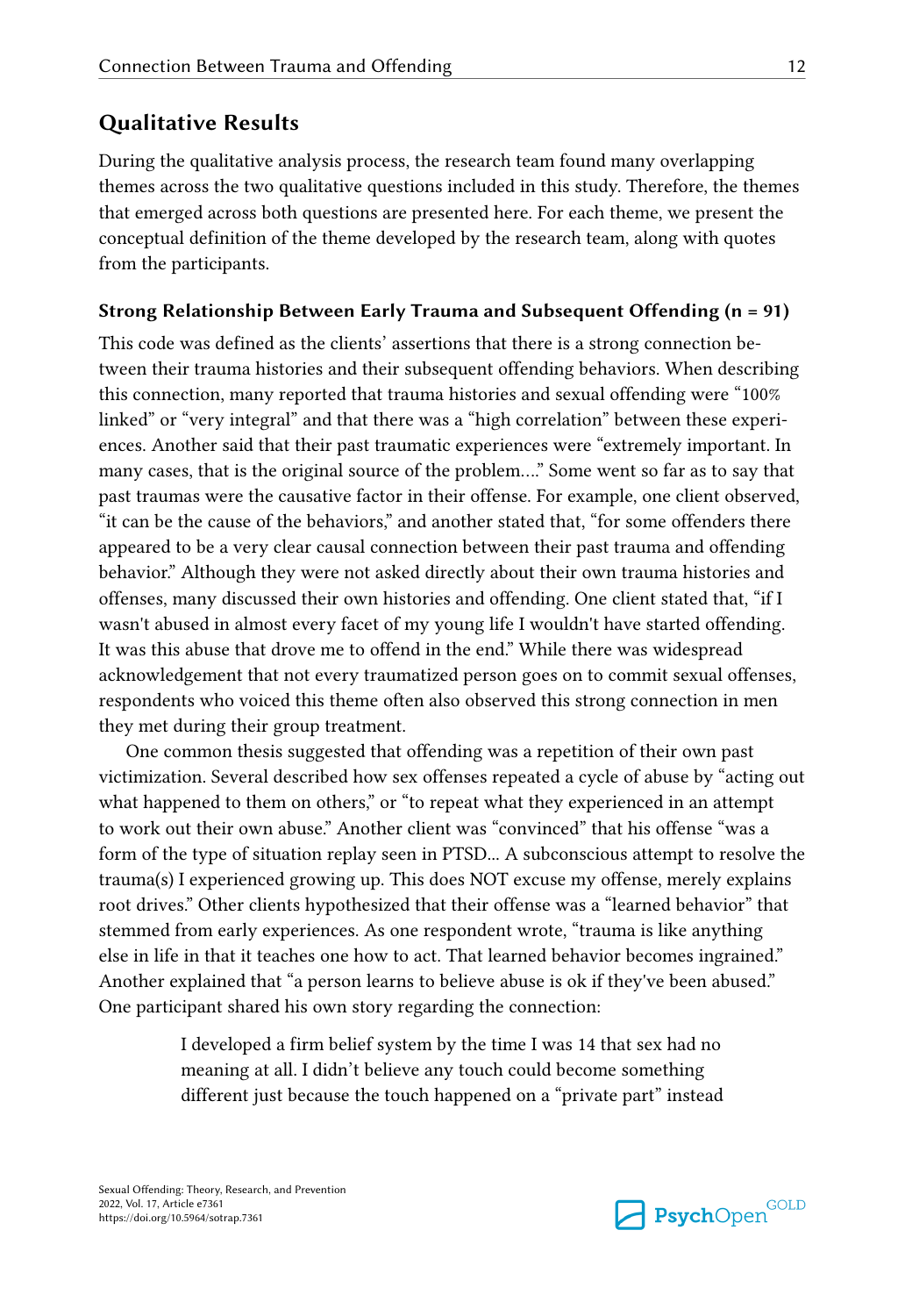# **Qualitative Results**

During the qualitative analysis process, the research team found many overlapping themes across the two qualitative questions included in this study. Therefore, the themes that emerged across both questions are presented here. For each theme, we present the conceptual definition of the theme developed by the research team, along with quotes from the participants.

### **Strong Relationship Between Early Trauma and Subsequent Offending (n = 91)**

This code was defined as the clients' assertions that there is a strong connection between their trauma histories and their subsequent offending behaviors. When describing this connection, many reported that trauma histories and sexual offending were "100% linked" or "very integral" and that there was a "high correlation" between these experiences. Another said that their past traumatic experiences were "extremely important. In many cases, that is the original source of the problem…." Some went so far as to say that past traumas were the causative factor in their offense. For example, one client observed, "it can be the cause of the behaviors," and another stated that, "for some offenders there appeared to be a very clear causal connection between their past trauma and offending behavior." Although they were not asked directly about their own trauma histories and offenses, many discussed their own histories and offending. One client stated that, "if I wasn't abused in almost every facet of my young life I wouldn't have started offending. It was this abuse that drove me to offend in the end." While there was widespread acknowledgement that not every traumatized person goes on to commit sexual offenses, respondents who voiced this theme often also observed this strong connection in men they met during their group treatment.

One common thesis suggested that offending was a repetition of their own past victimization. Several described how sex offenses repeated a cycle of abuse by "acting out what happened to them on others," or "to repeat what they experienced in an attempt to work out their own abuse." Another client was "convinced" that his offense "was a form of the type of situation replay seen in PTSD... A subconscious attempt to resolve the trauma(s) I experienced growing up. This does NOT excuse my offense, merely explains root drives." Other clients hypothesized that their offense was a "learned behavior" that stemmed from early experiences. As one respondent wrote, "trauma is like anything else in life in that it teaches one how to act. That learned behavior becomes ingrained." Another explained that "a person learns to believe abuse is ok if they've been abused." One participant shared his own story regarding the connection:

> I developed a firm belief system by the time I was 14 that sex had no meaning at all. I didn't believe any touch could become something different just because the touch happened on a "private part" instead

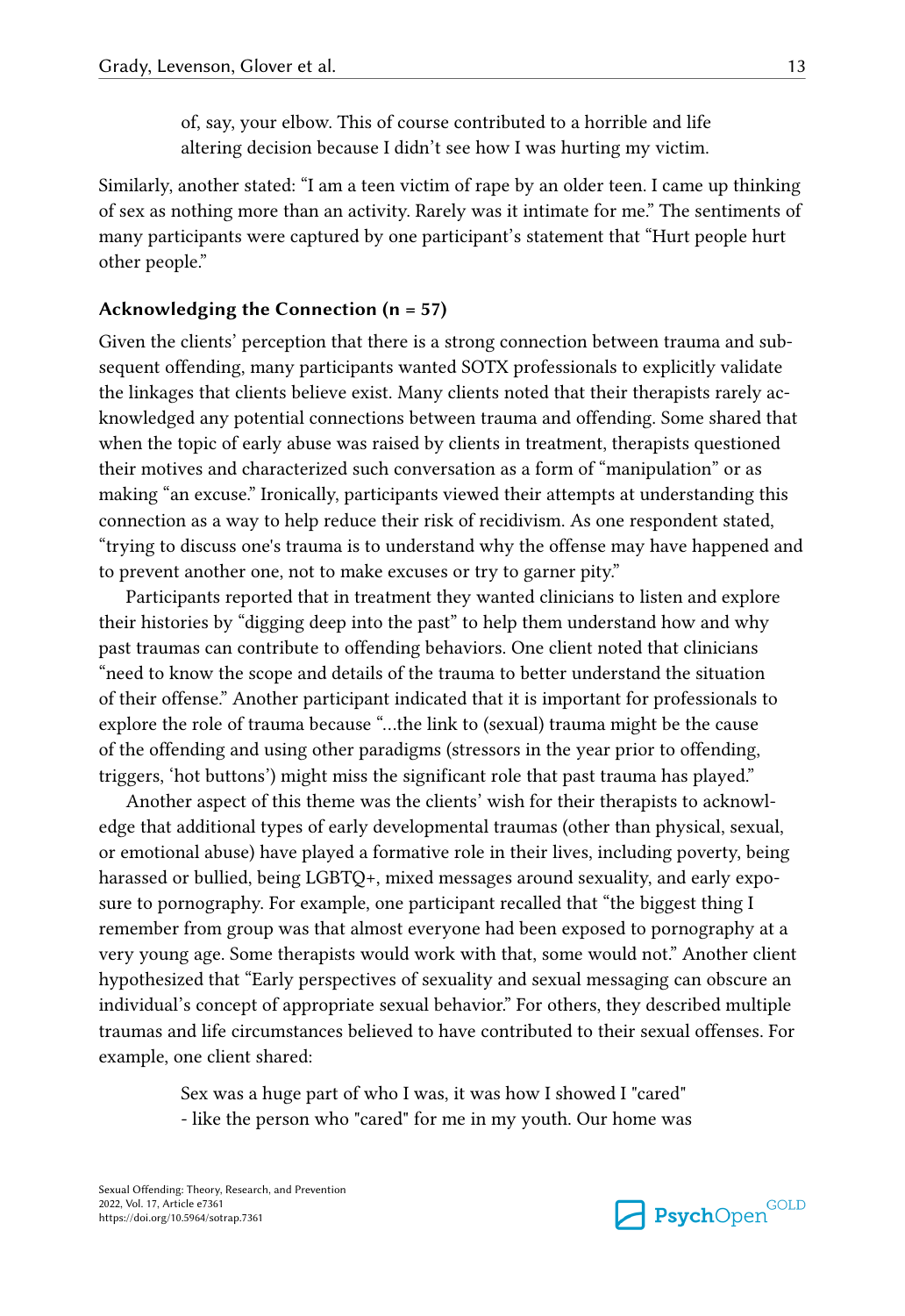of, say, your elbow. This of course contributed to a horrible and life altering decision because I didn't see how I was hurting my victim.

Similarly, another stated: "I am a teen victim of rape by an older teen. I came up thinking of sex as nothing more than an activity. Rarely was it intimate for me." The sentiments of many participants were captured by one participant's statement that "Hurt people hurt other people."

### **Acknowledging the Connection (n = 57)**

Given the clients' perception that there is a strong connection between trauma and subsequent offending, many participants wanted SOTX professionals to explicitly validate the linkages that clients believe exist. Many clients noted that their therapists rarely acknowledged any potential connections between trauma and offending. Some shared that when the topic of early abuse was raised by clients in treatment, therapists questioned their motives and characterized such conversation as a form of "manipulation" or as making "an excuse." Ironically, participants viewed their attempts at understanding this connection as a way to help reduce their risk of recidivism. As one respondent stated, "trying to discuss one's trauma is to understand why the offense may have happened and to prevent another one, not to make excuses or try to garner pity."

Participants reported that in treatment they wanted clinicians to listen and explore their histories by "digging deep into the past" to help them understand how and why past traumas can contribute to offending behaviors. One client noted that clinicians "need to know the scope and details of the trauma to better understand the situation of their offense." Another participant indicated that it is important for professionals to explore the role of trauma because "…the link to (sexual) trauma might be the cause of the offending and using other paradigms (stressors in the year prior to offending, triggers, 'hot buttons') might miss the significant role that past trauma has played."

Another aspect of this theme was the clients' wish for their therapists to acknowledge that additional types of early developmental traumas (other than physical, sexual, or emotional abuse) have played a formative role in their lives, including poverty, being harassed or bullied, being LGBTQ+, mixed messages around sexuality, and early exposure to pornography. For example, one participant recalled that "the biggest thing I remember from group was that almost everyone had been exposed to pornography at a very young age. Some therapists would work with that, some would not." Another client hypothesized that "Early perspectives of sexuality and sexual messaging can obscure an individual's concept of appropriate sexual behavior." For others, they described multiple traumas and life circumstances believed to have contributed to their sexual offenses. For example, one client shared:

> Sex was a huge part of who I was, it was how I showed I "cared" - like the person who "cared" for me in my youth. Our home was

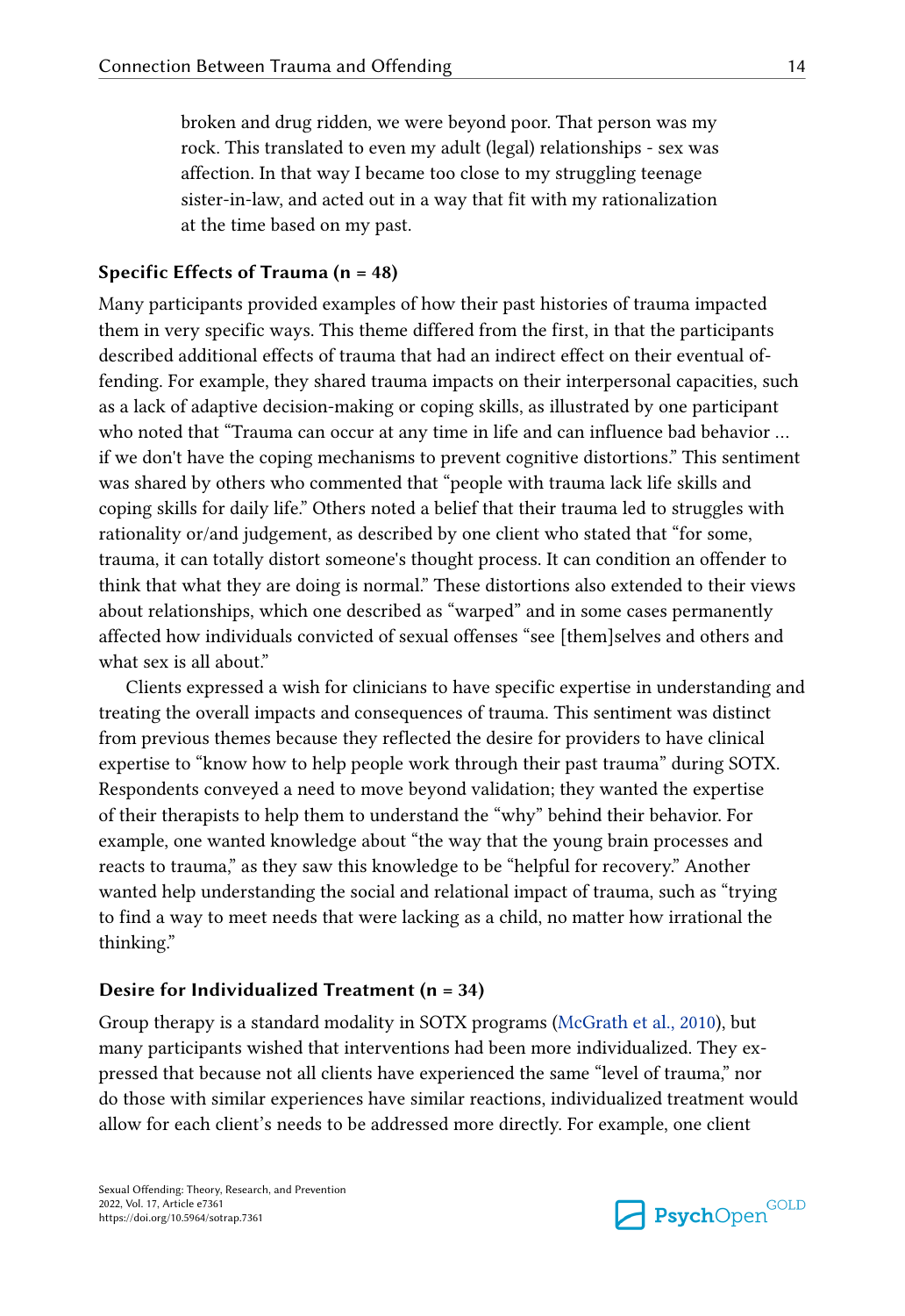broken and drug ridden, we were beyond poor. That person was my rock. This translated to even my adult (legal) relationships - sex was affection. In that way I became too close to my struggling teenage sister-in-law, and acted out in a way that fit with my rationalization at the time based on my past.

### **Specific Effects of Trauma (n = 48)**

Many participants provided examples of how their past histories of trauma impacted them in very specific ways. This theme differed from the first, in that the participants described additional effects of trauma that had an indirect effect on their eventual offending. For example, they shared trauma impacts on their interpersonal capacities, such as a lack of adaptive decision-making or coping skills, as illustrated by one participant who noted that "Trauma can occur at any time in life and can influence bad behavior … if we don't have the coping mechanisms to prevent cognitive distortions." This sentiment was shared by others who commented that "people with trauma lack life skills and coping skills for daily life." Others noted a belief that their trauma led to struggles with rationality or/and judgement, as described by one client who stated that "for some, trauma, it can totally distort someone's thought process. It can condition an offender to think that what they are doing is normal." These distortions also extended to their views about relationships, which one described as "warped" and in some cases permanently affected how individuals convicted of sexual offenses "see [them]selves and others and what sex is all about."

Clients expressed a wish for clinicians to have specific expertise in understanding and treating the overall impacts and consequences of trauma. This sentiment was distinct from previous themes because they reflected the desire for providers to have clinical expertise to "know how to help people work through their past trauma" during SOTX. Respondents conveyed a need to move beyond validation; they wanted the expertise of their therapists to help them to understand the "why" behind their behavior. For example, one wanted knowledge about "the way that the young brain processes and reacts to trauma," as they saw this knowledge to be "helpful for recovery." Another wanted help understanding the social and relational impact of trauma, such as "trying to find a way to meet needs that were lacking as a child, no matter how irrational the thinking."

### **Desire for Individualized Treatment (n = 34)**

Group therapy is a standard modality in SOTX programs [\(McGrath et al., 2010](#page-24-0)), but many participants wished that interventions had been more individualized. They expressed that because not all clients have experienced the same "level of trauma," nor do those with similar experiences have similar reactions, individualized treatment would allow for each client's needs to be addressed more directly. For example, one client

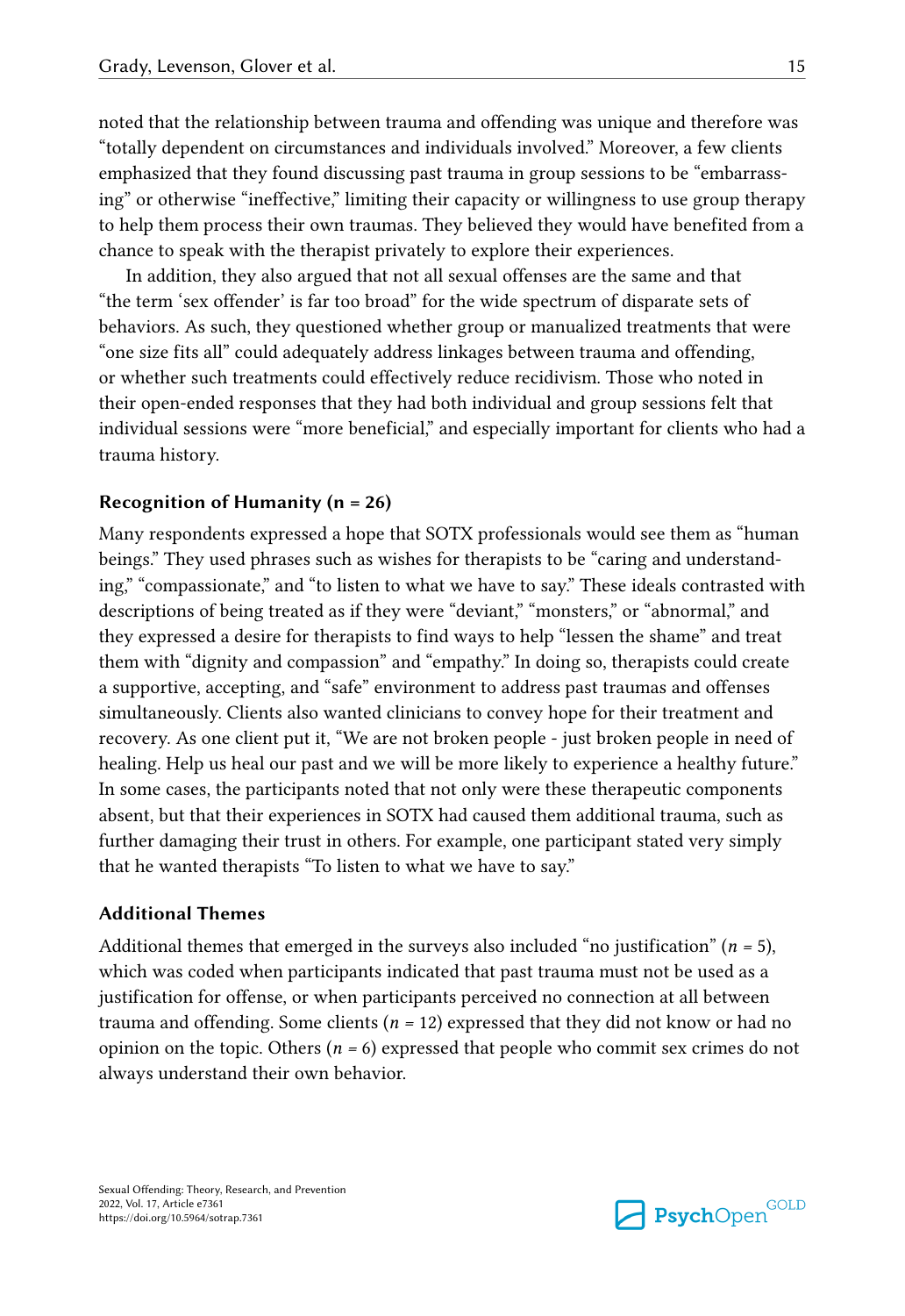noted that the relationship between trauma and offending was unique and therefore was "totally dependent on circumstances and individuals involved." Moreover, a few clients emphasized that they found discussing past trauma in group sessions to be "embarrassing" or otherwise "ineffective," limiting their capacity or willingness to use group therapy to help them process their own traumas. They believed they would have benefited from a chance to speak with the therapist privately to explore their experiences.

In addition, they also argued that not all sexual offenses are the same and that "the term 'sex offender' is far too broad" for the wide spectrum of disparate sets of behaviors. As such, they questioned whether group or manualized treatments that were "one size fits all" could adequately address linkages between trauma and offending, or whether such treatments could effectively reduce recidivism. Those who noted in their open-ended responses that they had both individual and group sessions felt that individual sessions were "more beneficial," and especially important for clients who had a trauma history.

### **Recognition of Humanity (n = 26)**

Many respondents expressed a hope that SOTX professionals would see them as "human beings." They used phrases such as wishes for therapists to be "caring and understanding," "compassionate," and "to listen to what we have to say." These ideals contrasted with descriptions of being treated as if they were "deviant," "monsters," or "abnormal," and they expressed a desire for therapists to find ways to help "lessen the shame" and treat them with "dignity and compassion" and "empathy." In doing so, therapists could create a supportive, accepting, and "safe" environment to address past traumas and offenses simultaneously. Clients also wanted clinicians to convey hope for their treatment and recovery. As one client put it, "We are not broken people - just broken people in need of healing. Help us heal our past and we will be more likely to experience a healthy future." In some cases, the participants noted that not only were these therapeutic components absent, but that their experiences in SOTX had caused them additional trauma, such as further damaging their trust in others. For example, one participant stated very simply that he wanted therapists "To listen to what we have to say."

### **Additional Themes**

Additional themes that emerged in the surveys also included "no justification" (*n =* 5), which was coded when participants indicated that past trauma must not be used as a justification for offense, or when participants perceived no connection at all between trauma and offending. Some clients (*n =* 12) expressed that they did not know or had no opinion on the topic. Others (*n =* 6) expressed that people who commit sex crimes do not always understand their own behavior.

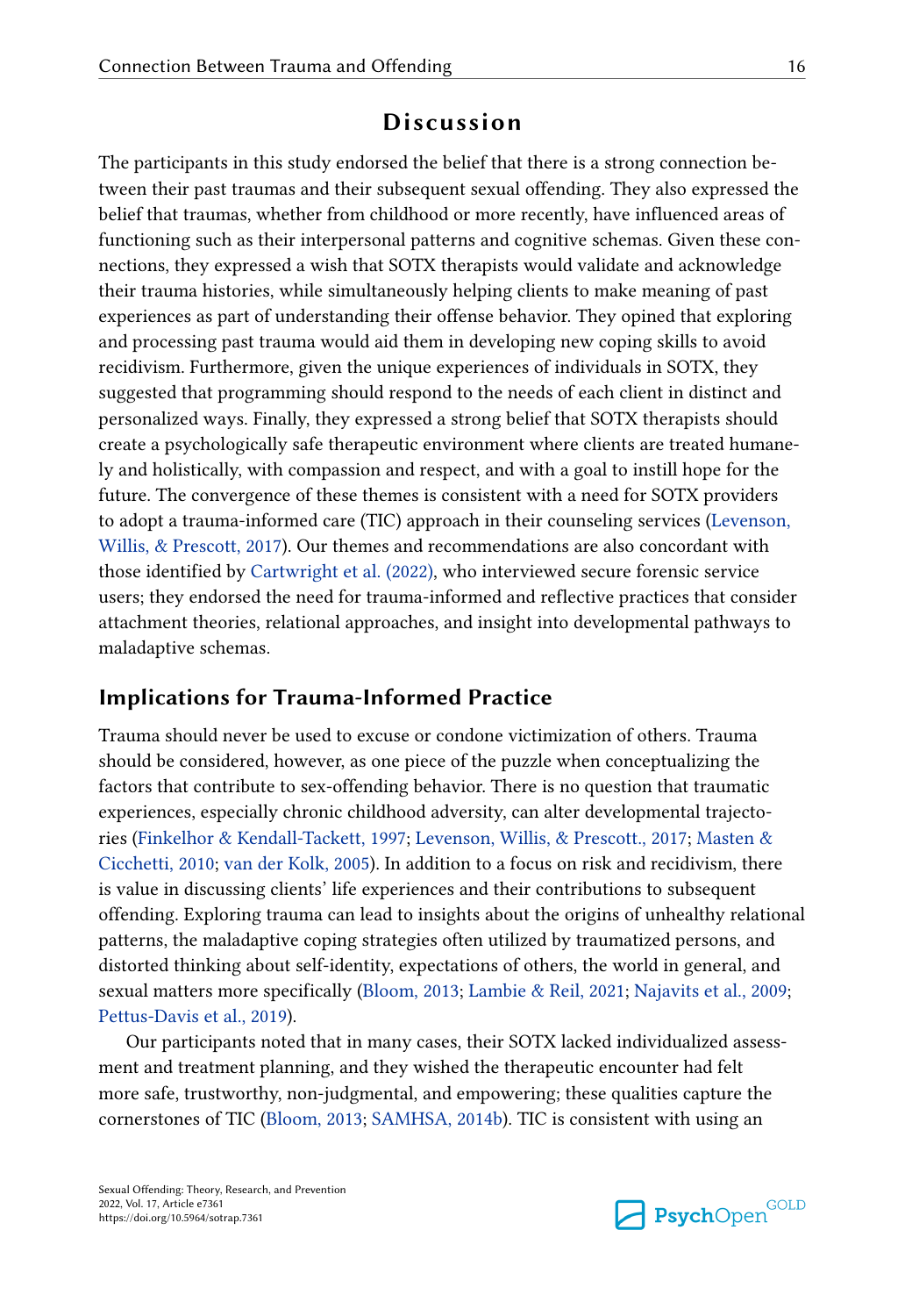# **Discussion**

The participants in this study endorsed the belief that there is a strong connection between their past traumas and their subsequent sexual offending. They also expressed the belief that traumas, whether from childhood or more recently, have influenced areas of functioning such as their interpersonal patterns and cognitive schemas. Given these connections, they expressed a wish that SOTX therapists would validate and acknowledge their trauma histories, while simultaneously helping clients to make meaning of past experiences as part of understanding their offense behavior. They opined that exploring and processing past trauma would aid them in developing new coping skills to avoid recidivism. Furthermore, given the unique experiences of individuals in SOTX, they suggested that programming should respond to the needs of each client in distinct and personalized ways. Finally, they expressed a strong belief that SOTX therapists should create a psychologically safe therapeutic environment where clients are treated humanely and holistically, with compassion and respect, and with a goal to instill hope for the future. The convergence of these themes is consistent with a need for SOTX providers to adopt a trauma-informed care (TIC) approach in their counseling services ([Levenson,](#page-24-0)  [Willis, & Prescott, 2017\)](#page-24-0). Our themes and recommendations are also concordant with those identified by [Cartwright et al. \(2022\)](#page-20-0), who interviewed secure forensic service users; they endorsed the need for trauma-informed and reflective practices that consider attachment theories, relational approaches, and insight into developmental pathways to maladaptive schemas.

# **Implications for Trauma-Informed Practice**

Trauma should never be used to excuse or condone victimization of others. Trauma should be considered, however, as one piece of the puzzle when conceptualizing the factors that contribute to sex-offending behavior. There is no question that traumatic experiences, especially chronic childhood adversity, can alter developmental trajectories [\(Finkelhor & Kendall-Tackett, 1997](#page-22-0); [Levenson, Willis, & Prescott., 2017](#page-24-0); [Masten &](#page-24-0)  [Cicchetti, 2010;](#page-24-0) [van der Kolk, 2005](#page-26-0)). In addition to a focus on risk and recidivism, there is value in discussing clients' life experiences and their contributions to subsequent offending. Exploring trauma can lead to insights about the origins of unhealthy relational patterns, the maladaptive coping strategies often utilized by traumatized persons, and distorted thinking about self-identity, expectations of others, the world in general, and sexual matters more specifically ([Bloom, 2013](#page-20-0); [Lambie & Reil, 2021](#page-23-0); [Najavits et al., 2009](#page-24-0); [Pettus-Davis et al., 2019](#page-25-0)).

Our participants noted that in many cases, their SOTX lacked individualized assessment and treatment planning, and they wished the therapeutic encounter had felt more safe, trustworthy, non-judgmental, and empowering; these qualities capture the cornerstones of TIC ([Bloom, 2013](#page-20-0); [SAMHSA, 2014b\)](#page-26-0). TIC is consistent with using an

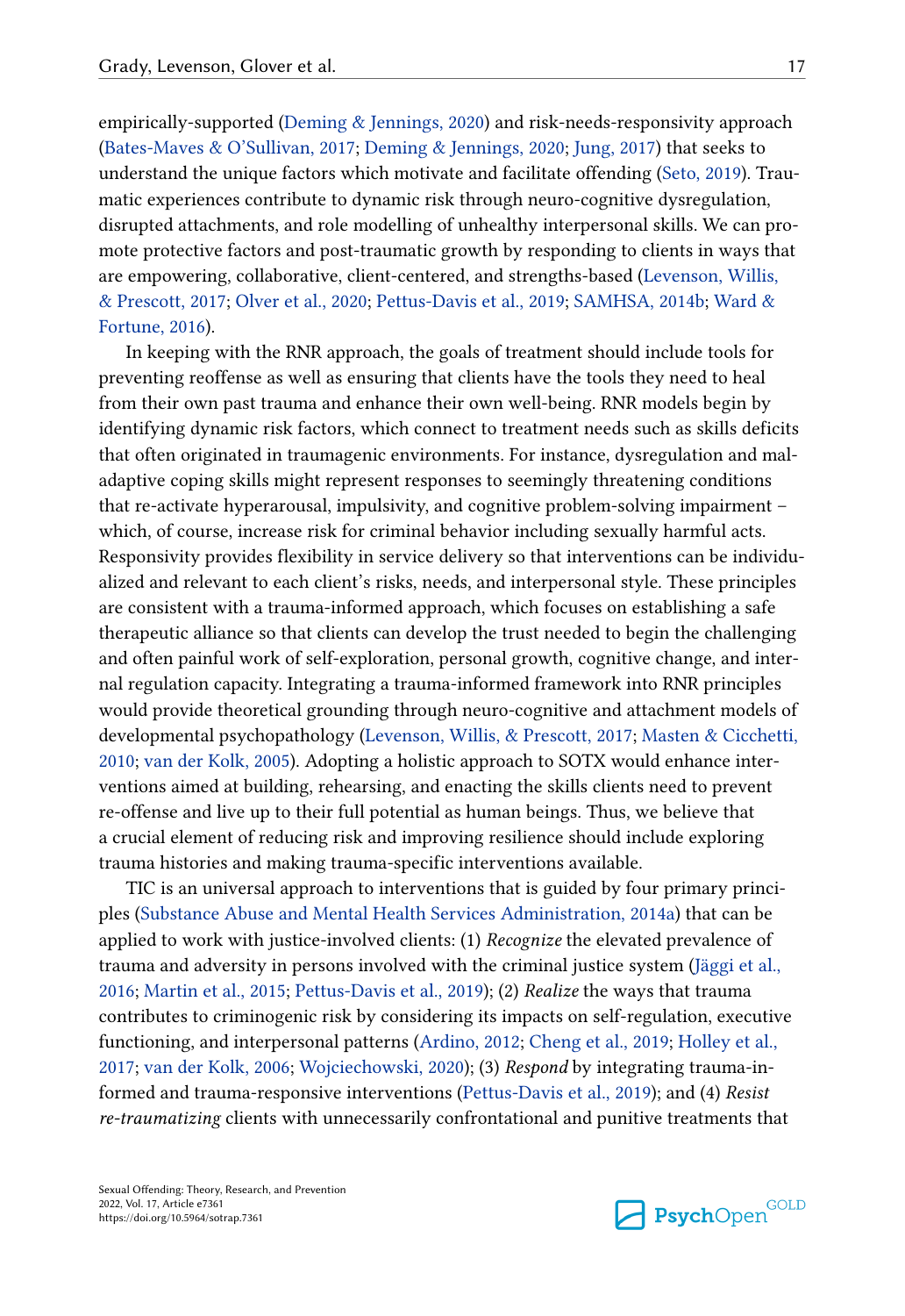empirically-supported [\(Deming & Jennings, 2020](#page-21-0)) and risk-needs-responsivity approach [\(Bates-Maves & O'Sullivan, 2017;](#page-20-0) [Deming & Jennings, 2020](#page-21-0); [Jung, 2017](#page-23-0)) that seeks to understand the unique factors which motivate and facilitate offending ([Seto, 2019](#page-25-0)). Traumatic experiences contribute to dynamic risk through neuro-cognitive dysregulation, disrupted attachments, and role modelling of unhealthy interpersonal skills. We can promote protective factors and post-traumatic growth by responding to clients in ways that are empowering, collaborative, client-centered, and strengths-based ([Levenson, Willis,](#page-24-0)  [& Prescott, 2017;](#page-24-0) [Olver et al., 2020;](#page-24-0) [Pettus-Davis et al., 2019](#page-25-0); [SAMHSA, 2014b](#page-26-0); [Ward &](#page-26-0)  [Fortune, 2016](#page-26-0)).

In keeping with the RNR approach, the goals of treatment should include tools for preventing reoffense as well as ensuring that clients have the tools they need to heal from their own past trauma and enhance their own well-being. RNR models begin by identifying dynamic risk factors, which connect to treatment needs such as skills deficits that often originated in traumagenic environments. For instance, dysregulation and maladaptive coping skills might represent responses to seemingly threatening conditions that re-activate hyperarousal, impulsivity, and cognitive problem-solving impairment – which, of course, increase risk for criminal behavior including sexually harmful acts. Responsivity provides flexibility in service delivery so that interventions can be individualized and relevant to each client's risks, needs, and interpersonal style. These principles are consistent with a trauma-informed approach, which focuses on establishing a safe therapeutic alliance so that clients can develop the trust needed to begin the challenging and often painful work of self-exploration, personal growth, cognitive change, and internal regulation capacity. Integrating a trauma-informed framework into RNR principles would provide theoretical grounding through neuro-cognitive and attachment models of developmental psychopathology ([Levenson, Willis, & Prescott, 2017](#page-24-0); [Masten & Cicchetti,](#page-24-0)  [2010;](#page-24-0) [van der Kolk, 2005\)](#page-26-0). Adopting a holistic approach to SOTX would enhance interventions aimed at building, rehearsing, and enacting the skills clients need to prevent re-offense and live up to their full potential as human beings. Thus, we believe that a crucial element of reducing risk and improving resilience should include exploring trauma histories and making trauma-specific interventions available.

TIC is an universal approach to interventions that is guided by four primary principles ([Substance Abuse and Mental Health Services Administration, 2014a](#page-25-0)) that can be applied to work with justice-involved clients: (1) *Recognize* the elevated prevalence of trauma and adversity in persons involved with the criminal justice system [\(Jäggi et al.,](#page-23-0)  [2016;](#page-23-0) [Martin et al., 2015;](#page-24-0) [Pettus-Davis et al., 2019\)](#page-25-0); (2) *Realize* the ways that trauma contributes to criminogenic risk by considering its impacts on self-regulation, executive functioning, and interpersonal patterns ([Ardino, 2012;](#page-20-0) [Cheng et al., 2019;](#page-21-0) [Holley et al.,](#page-23-0) [2017;](#page-23-0) [van der Kolk, 2006;](#page-26-0) [Wojciechowski, 2020\)](#page-27-0); (3) *Respond* by integrating trauma-informed and trauma-responsive interventions [\(Pettus-Davis et al., 2019\)](#page-25-0); and (4) *Resist re-traumatizing* clients with unnecessarily confrontational and punitive treatments that

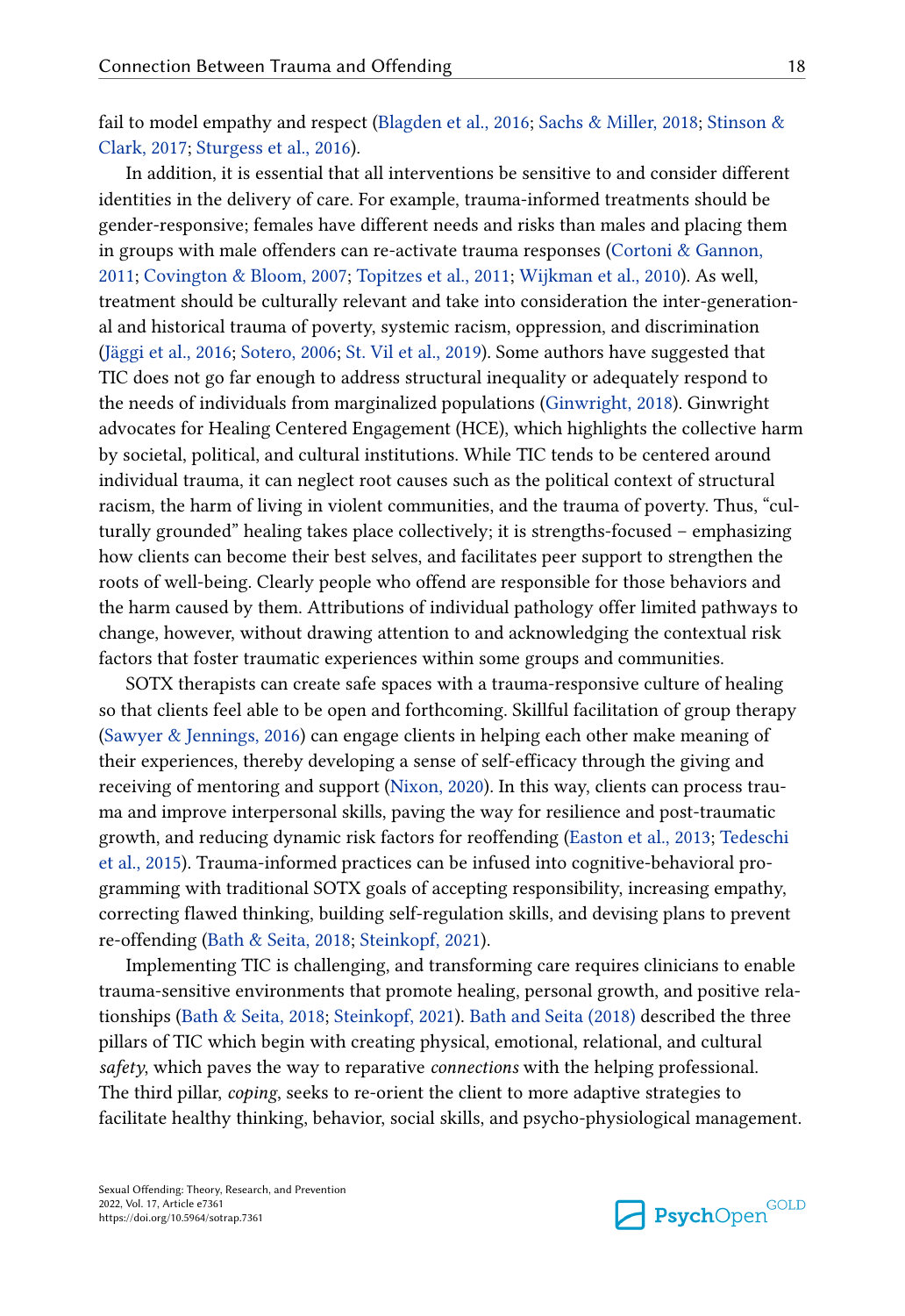fail to model empathy and respect ([Blagden et al., 2016;](#page-20-0) [Sachs & Miller, 2018](#page-25-0); [Stinson &](#page-25-0)  [Clark, 2017;](#page-25-0) [Sturgess et al., 2016](#page-25-0)).

In addition, it is essential that all interventions be sensitive to and consider different identities in the delivery of care. For example, trauma-informed treatments should be gender-responsive; females have different needs and risks than males and placing them in groups with male offenders can re-activate trauma responses [\(Cortoni & Gannon,](#page-21-0)  [2011; Covington & Bloom, 2007;](#page-21-0) [Topitzes et al., 2011;](#page-26-0) [Wijkman et al., 2010\)](#page-26-0). As well, treatment should be culturally relevant and take into consideration the inter-generational and historical trauma of poverty, systemic racism, oppression, and discrimination [\(Jäggi et al., 2016;](#page-23-0) [Sotero, 2006](#page-25-0); [St. Vil et al., 2019\)](#page-25-0). Some authors have suggested that TIC does not go far enough to address structural inequality or adequately respond to the needs of individuals from marginalized populations [\(Ginwright, 2018\)](#page-22-0). Ginwright advocates for Healing Centered Engagement (HCE), which highlights the collective harm by societal, political, and cultural institutions. While TIC tends to be centered around individual trauma, it can neglect root causes such as the political context of structural racism, the harm of living in violent communities, and the trauma of poverty. Thus, "culturally grounded" healing takes place collectively; it is strengths-focused – emphasizing how clients can become their best selves, and facilitates peer support to strengthen the roots of well-being. Clearly people who offend are responsible for those behaviors and the harm caused by them. Attributions of individual pathology offer limited pathways to change, however, without drawing attention to and acknowledging the contextual risk factors that foster traumatic experiences within some groups and communities.

SOTX therapists can create safe spaces with a trauma-responsive culture of healing so that clients feel able to be open and forthcoming. Skillful facilitation of group therapy [\(Sawyer & Jennings, 2016](#page-25-0)) can engage clients in helping each other make meaning of their experiences, thereby developing a sense of self-efficacy through the giving and receiving of mentoring and support ([Nixon, 2020](#page-24-0)). In this way, clients can process trauma and improve interpersonal skills, paving the way for resilience and post-traumatic growth, and reducing dynamic risk factors for reoffending ([Easton et al., 2013;](#page-22-0) [Tedeschi](#page-26-0) [et al., 2015\)](#page-26-0). Trauma-informed practices can be infused into cognitive-behavioral programming with traditional SOTX goals of accepting responsibility, increasing empathy, correcting flawed thinking, building self-regulation skills, and devising plans to prevent re-offending [\(Bath & Seita, 2018](#page-20-0); [Steinkopf, 2021\)](#page-25-0).

Implementing TIC is challenging, and transforming care requires clinicians to enable trauma-sensitive environments that promote healing, personal growth, and positive relationships ([Bath & Seita, 2018](#page-20-0); [Steinkopf, 2021](#page-25-0)). [Bath and Seita \(2018\)](#page-20-0) described the three pillars of TIC which begin with creating physical, emotional, relational, and cultural *safety*, which paves the way to reparative *connections* with the helping professional. The third pillar, *coping*, seeks to re-orient the client to more adaptive strategies to facilitate healthy thinking, behavior, social skills, and psycho-physiological management.

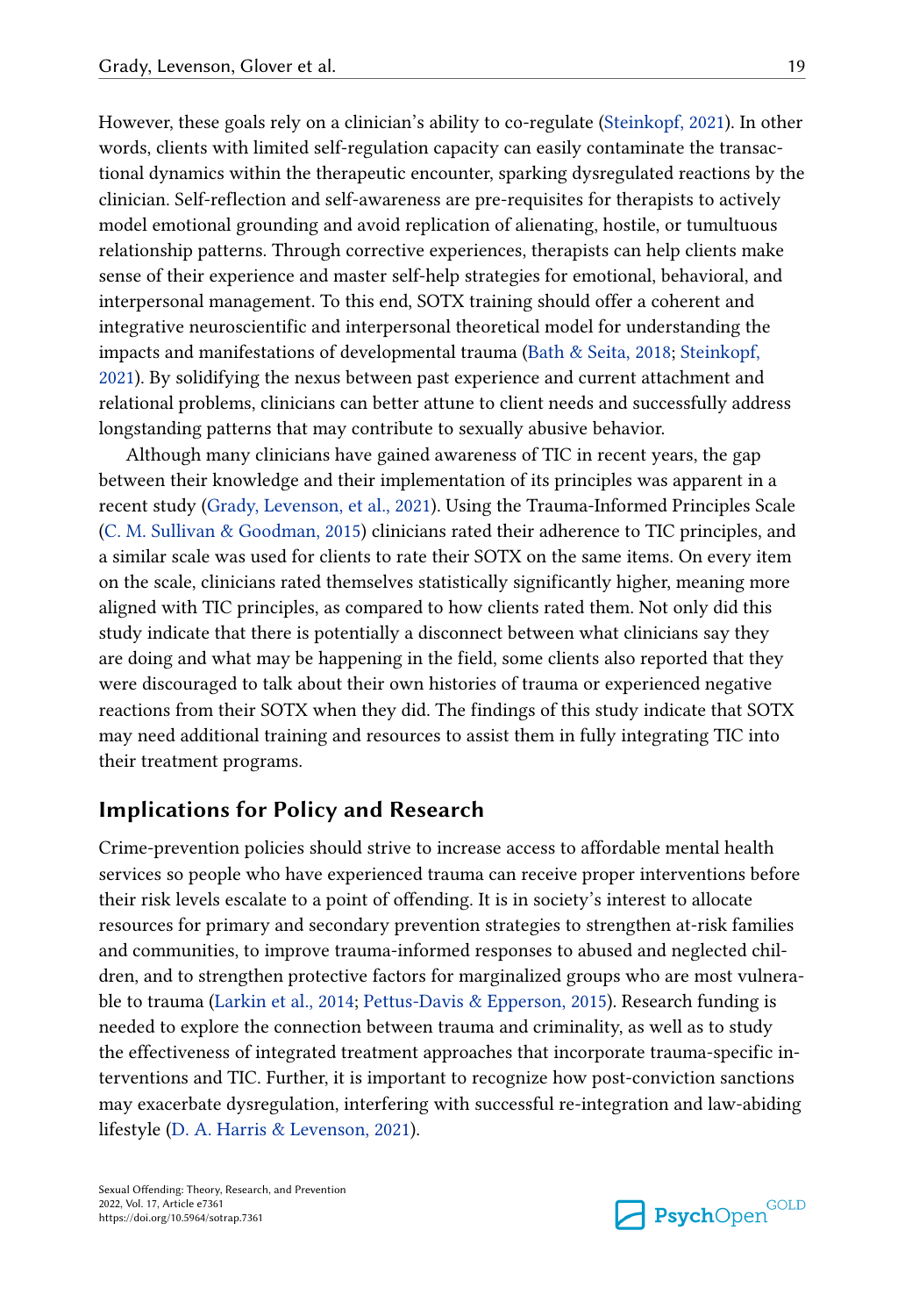However, these goals rely on a clinician's ability to co-regulate ([Steinkopf, 2021\)](#page-25-0). In other words, clients with limited self-regulation capacity can easily contaminate the transactional dynamics within the therapeutic encounter, sparking dysregulated reactions by the clinician. Self-reflection and self-awareness are pre-requisites for therapists to actively model emotional grounding and avoid replication of alienating, hostile, or tumultuous relationship patterns. Through corrective experiences, therapists can help clients make sense of their experience and master self-help strategies for emotional, behavioral, and interpersonal management. To this end, SOTX training should offer a coherent and integrative neuroscientific and interpersonal theoretical model for understanding the impacts and manifestations of developmental trauma [\(Bath & Seita, 2018](#page-20-0); [Steinkopf,](#page-25-0) [2021\)](#page-25-0). By solidifying the nexus between past experience and current attachment and relational problems, clinicians can better attune to client needs and successfully address longstanding patterns that may contribute to sexually abusive behavior.

Although many clinicians have gained awareness of TIC in recent years, the gap between their knowledge and their implementation of its principles was apparent in a recent study [\(Grady, Levenson, et al., 2021\)](#page-22-0). Using the Trauma-Informed Principles Scale [\(C. M. Sullivan & Goodman, 2015\)](#page-26-0) clinicians rated their adherence to TIC principles, and a similar scale was used for clients to rate their SOTX on the same items. On every item on the scale, clinicians rated themselves statistically significantly higher, meaning more aligned with TIC principles, as compared to how clients rated them. Not only did this study indicate that there is potentially a disconnect between what clinicians say they are doing and what may be happening in the field, some clients also reported that they were discouraged to talk about their own histories of trauma or experienced negative reactions from their SOTX when they did. The findings of this study indicate that SOTX may need additional training and resources to assist them in fully integrating TIC into their treatment programs.

# **Implications for Policy and Research**

Crime-prevention policies should strive to increase access to affordable mental health services so people who have experienced trauma can receive proper interventions before their risk levels escalate to a point of offending. It is in society's interest to allocate resources for primary and secondary prevention strategies to strengthen at-risk families and communities, to improve trauma-informed responses to abused and neglected children, and to strengthen protective factors for marginalized groups who are most vulnerable to trauma ([Larkin et al., 2014](#page-23-0); [Pettus-Davis & Epperson, 2015\)](#page-25-0). Research funding is needed to explore the connection between trauma and criminality, as well as to study the effectiveness of integrated treatment approaches that incorporate trauma-specific interventions and TIC. Further, it is important to recognize how post-conviction sanctions may exacerbate dysregulation, interfering with successful re-integration and law-abiding lifestyle ([D. A. Harris & Levenson, 2021](#page-23-0)).

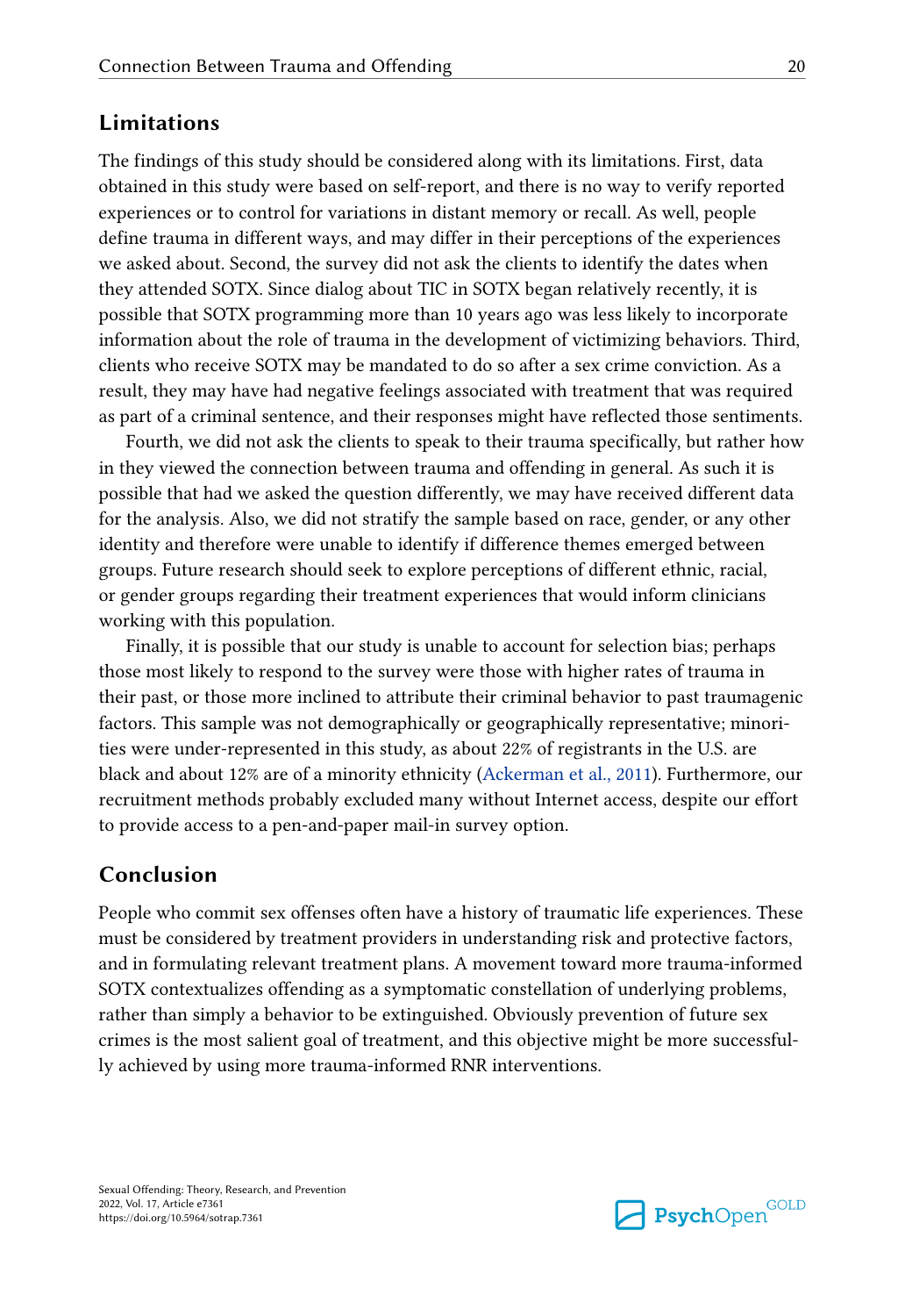# **Limitations**

The findings of this study should be considered along with its limitations. First, data obtained in this study were based on self-report, and there is no way to verify reported experiences or to control for variations in distant memory or recall. As well, people define trauma in different ways, and may differ in their perceptions of the experiences we asked about. Second, the survey did not ask the clients to identify the dates when they attended SOTX. Since dialog about TIC in SOTX began relatively recently, it is possible that SOTX programming more than 10 years ago was less likely to incorporate information about the role of trauma in the development of victimizing behaviors. Third, clients who receive SOTX may be mandated to do so after a sex crime conviction. As a result, they may have had negative feelings associated with treatment that was required as part of a criminal sentence, and their responses might have reflected those sentiments.

Fourth, we did not ask the clients to speak to their trauma specifically, but rather how in they viewed the connection between trauma and offending in general. As such it is possible that had we asked the question differently, we may have received different data for the analysis. Also, we did not stratify the sample based on race, gender, or any other identity and therefore were unable to identify if difference themes emerged between groups. Future research should seek to explore perceptions of different ethnic, racial, or gender groups regarding their treatment experiences that would inform clinicians working with this population.

Finally, it is possible that our study is unable to account for selection bias; perhaps those most likely to respond to the survey were those with higher rates of trauma in their past, or those more inclined to attribute their criminal behavior to past traumagenic factors. This sample was not demographically or geographically representative; minorities were under-represented in this study, as about 22% of registrants in the U.S. are black and about 12% are of a minority ethnicity ([Ackerman et al., 2011](#page-20-0)). Furthermore, our recruitment methods probably excluded many without Internet access, despite our effort to provide access to a pen-and-paper mail-in survey option.

# **Conclusion**

People who commit sex offenses often have a history of traumatic life experiences. These must be considered by treatment providers in understanding risk and protective factors, and in formulating relevant treatment plans. A movement toward more trauma-informed SOTX contextualizes offending as a symptomatic constellation of underlying problems, rather than simply a behavior to be extinguished. Obviously prevention of future sex crimes is the most salient goal of treatment, and this objective might be more successfully achieved by using more trauma-informed RNR interventions.

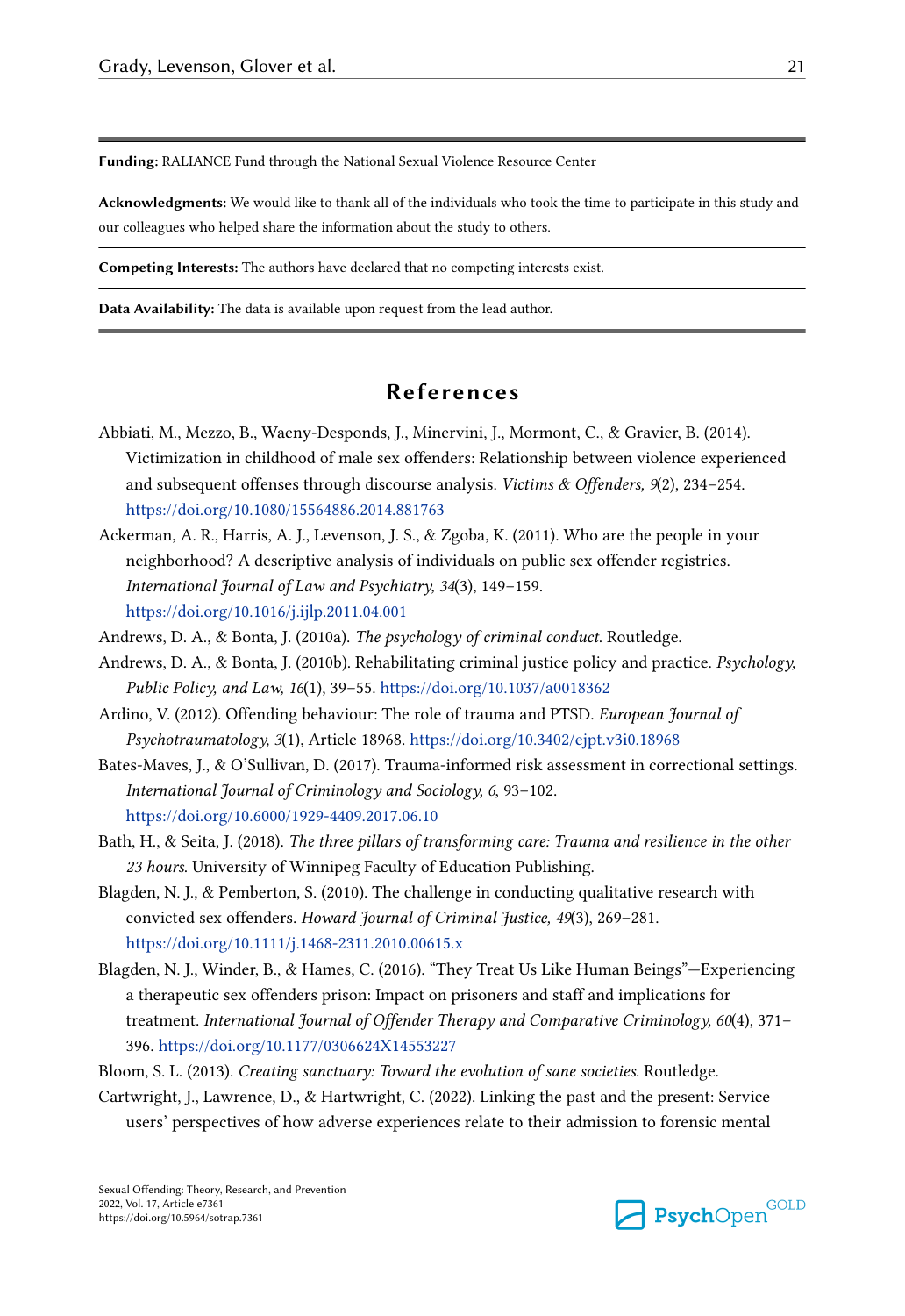<span id="page-20-0"></span>**Funding:** RALIANCE Fund through the National Sexual Violence Resource Center

**Acknowledgments:** We would like to thank all of the individuals who took the time to participate in this study and our colleagues who helped share the information about the study to others.

**Competing Interests:** The authors have declared that no competing interests exist.

**Data Availability:** The data is available upon request from the lead author.

# **References**

- Abbiati, M., Mezzo, B., Waeny-Desponds, J., Minervini, J., Mormont, C., & Gravier, B. (2014). Victimization in childhood of male sex offenders: Relationship between violence experienced and subsequent offenses through discourse analysis. *Victims & Offenders, 9*(2), 234–254. <https://doi.org/10.1080/15564886.2014.881763>
- Ackerman, A. R., Harris, A. J., Levenson, J. S., & Zgoba, K. (2011). Who are the people in your neighborhood? A descriptive analysis of individuals on public sex offender registries. *International Journal of Law and Psychiatry, 34*(3), 149–159. <https://doi.org/10.1016/j.ijlp.2011.04.001>
- Andrews, D. A., & Bonta, J. (2010a). *The psychology of criminal conduct*. Routledge.
- Andrews, D. A., & Bonta, J. (2010b). Rehabilitating criminal justice policy and practice. *Psychology, Public Policy, and Law, 16*(1), 39–55. <https://doi.org/10.1037/a0018362>
- Ardino, V. (2012). Offending behaviour: The role of trauma and PTSD. *European Journal of Psychotraumatology, 3*(1), Article 18968.<https://doi.org/10.3402/ejpt.v3i0.18968>
- Bates-Maves, J., & O'Sullivan, D. (2017). Trauma-informed risk assessment in correctional settings. *International Journal of Criminology and Sociology, 6*, 93–102. <https://doi.org/10.6000/1929-4409.2017.06.10>
- Bath, H., & Seita, J. (2018). *The three pillars of transforming care: Trauma and resilience in the other 23 hours*. University of Winnipeg Faculty of Education Publishing.
- Blagden, N. J., & Pemberton, S. (2010). The challenge in conducting qualitative research with convicted sex offenders. *Howard Journal of Criminal Justice, 49*(3), 269–281. <https://doi.org/10.1111/j.1468-2311.2010.00615.x>
- Blagden, N. J., Winder, B., & Hames, C. (2016). "They Treat Us Like Human Beings"—Experiencing a therapeutic sex offenders prison: Impact on prisoners and staff and implications for treatment. *International Journal of Offender Therapy and Comparative Criminology, 60*(4), 371– 396. <https://doi.org/10.1177/0306624X14553227>
- Bloom, S. L. (2013). *Creating sanctuary: Toward the evolution of sane societies*. Routledge.
- Cartwright, J., Lawrence, D., & Hartwright, C. (2022). Linking the past and the present: Service users' perspectives of how adverse experiences relate to their admission to forensic mental

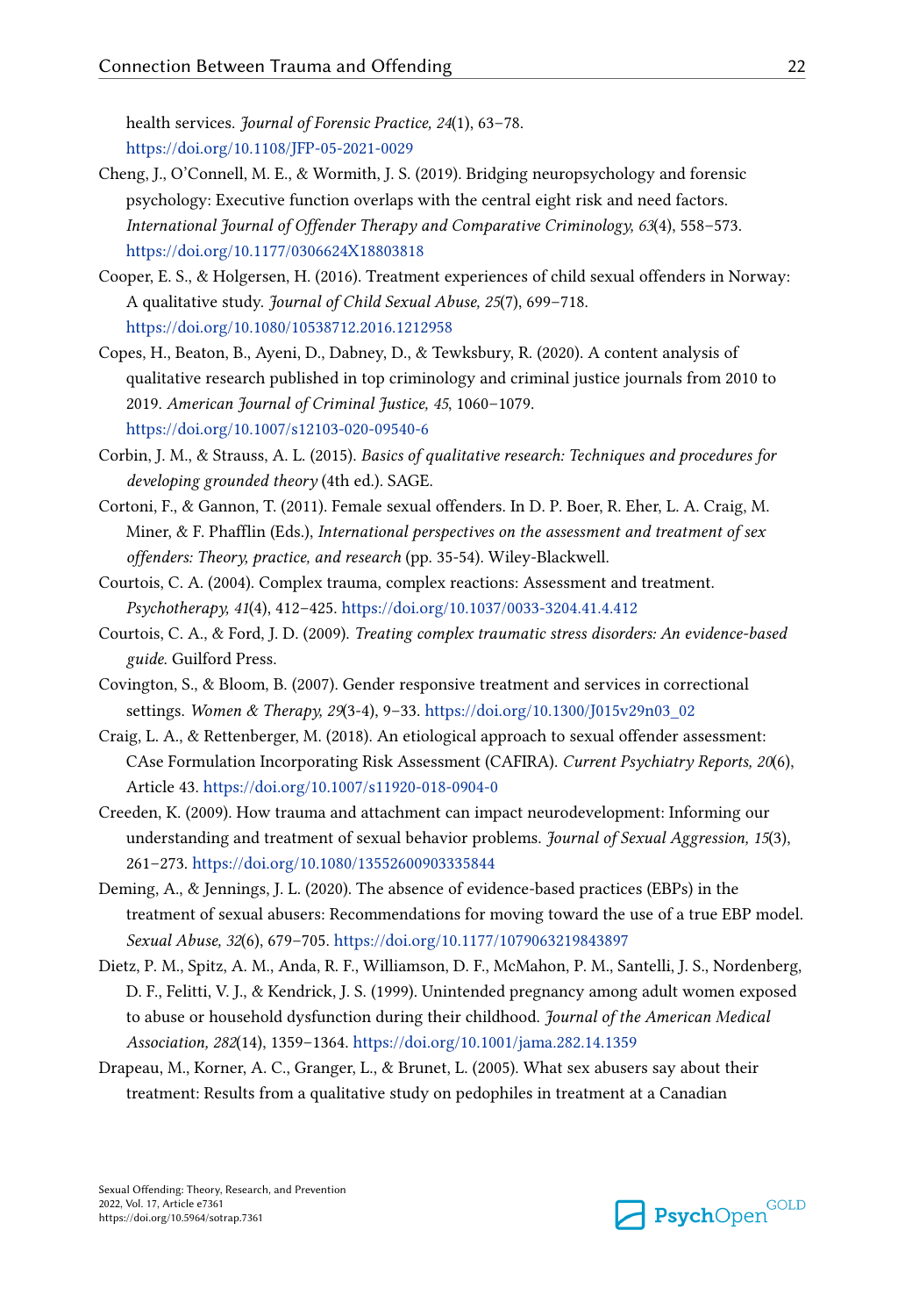<span id="page-21-0"></span>health services. *Journal of Forensic Practice, 24*(1), 63–78. <https://doi.org/10.1108/JFP-05-2021-0029>

- Cheng, J., O'Connell, M. E., & Wormith, J. S. (2019). Bridging neuropsychology and forensic psychology: Executive function overlaps with the central eight risk and need factors. *International Journal of Offender Therapy and Comparative Criminology, 63*(4), 558–573. <https://doi.org/10.1177/0306624X18803818>
- Cooper, E. S., & Holgersen, H. (2016). Treatment experiences of child sexual offenders in Norway: A qualitative study. *Journal of Child Sexual Abuse, 25*(7), 699–718. <https://doi.org/10.1080/10538712.2016.1212958>
- Copes, H., Beaton, B., Ayeni, D., Dabney, D., & Tewksbury, R. (2020). A content analysis of qualitative research published in top criminology and criminal justice journals from 2010 to 2019. *American Journal of Criminal Justice, 45*, 1060–1079. <https://doi.org/10.1007/s12103-020-09540-6>
- Corbin, J. M., & Strauss, A. L. (2015). *Basics of qualitative research: Techniques and procedures for developing grounded theory* (4th ed.). SAGE.
- Cortoni, F., & Gannon, T. (2011). Female sexual offenders. In D. P. Boer, R. Eher, L. A. Craig, M. Miner, & F. Phafflin (Eds.), *International perspectives on the assessment and treatment of sex offenders: Theory, practice, and research* (pp. 35-54). Wiley-Blackwell.
- Courtois, C. A. (2004). Complex trauma, complex reactions: Assessment and treatment. *Psychotherapy, 41*(4), 412–425. <https://doi.org/10.1037/0033-3204.41.4.412>
- Courtois, C. A., & Ford, J. D. (2009). *Treating complex traumatic stress disorders: An evidence-based guide*. Guilford Press.
- Covington, S., & Bloom, B. (2007). Gender responsive treatment and services in correctional settings. *Women & Therapy, 29*(3-4), 9–33. [https://doi.org/10.1300/J015v29n03\\_02](https://doi.org/10.1300/J015v29n03_02)
- Craig, L. A., & Rettenberger, M. (2018). An etiological approach to sexual offender assessment: CAse Formulation Incorporating Risk Assessment (CAFIRA). *Current Psychiatry Reports, 20*(6), Article 43.<https://doi.org/10.1007/s11920-018-0904-0>
- Creeden, K. (2009). How trauma and attachment can impact neurodevelopment: Informing our understanding and treatment of sexual behavior problems. *Journal of Sexual Aggression, 15*(3), 261–273.<https://doi.org/10.1080/13552600903335844>
- Deming, A., & Jennings, J. L. (2020). The absence of evidence-based practices (EBPs) in the treatment of sexual abusers: Recommendations for moving toward the use of a true EBP model. *Sexual Abuse, 32*(6), 679–705. <https://doi.org/10.1177/1079063219843897>
- Dietz, P. M., Spitz, A. M., Anda, R. F., Williamson, D. F., McMahon, P. M., Santelli, J. S., Nordenberg, D. F., Felitti, V. J., & Kendrick, J. S. (1999). Unintended pregnancy among adult women exposed to abuse or household dysfunction during their childhood. *Journal of the American Medical Association, 282*(14), 1359–1364. <https://doi.org/10.1001/jama.282.14.1359>
- Drapeau, M., Korner, A. C., Granger, L., & Brunet, L. (2005). What sex abusers say about their treatment: Results from a qualitative study on pedophiles in treatment at a Canadian

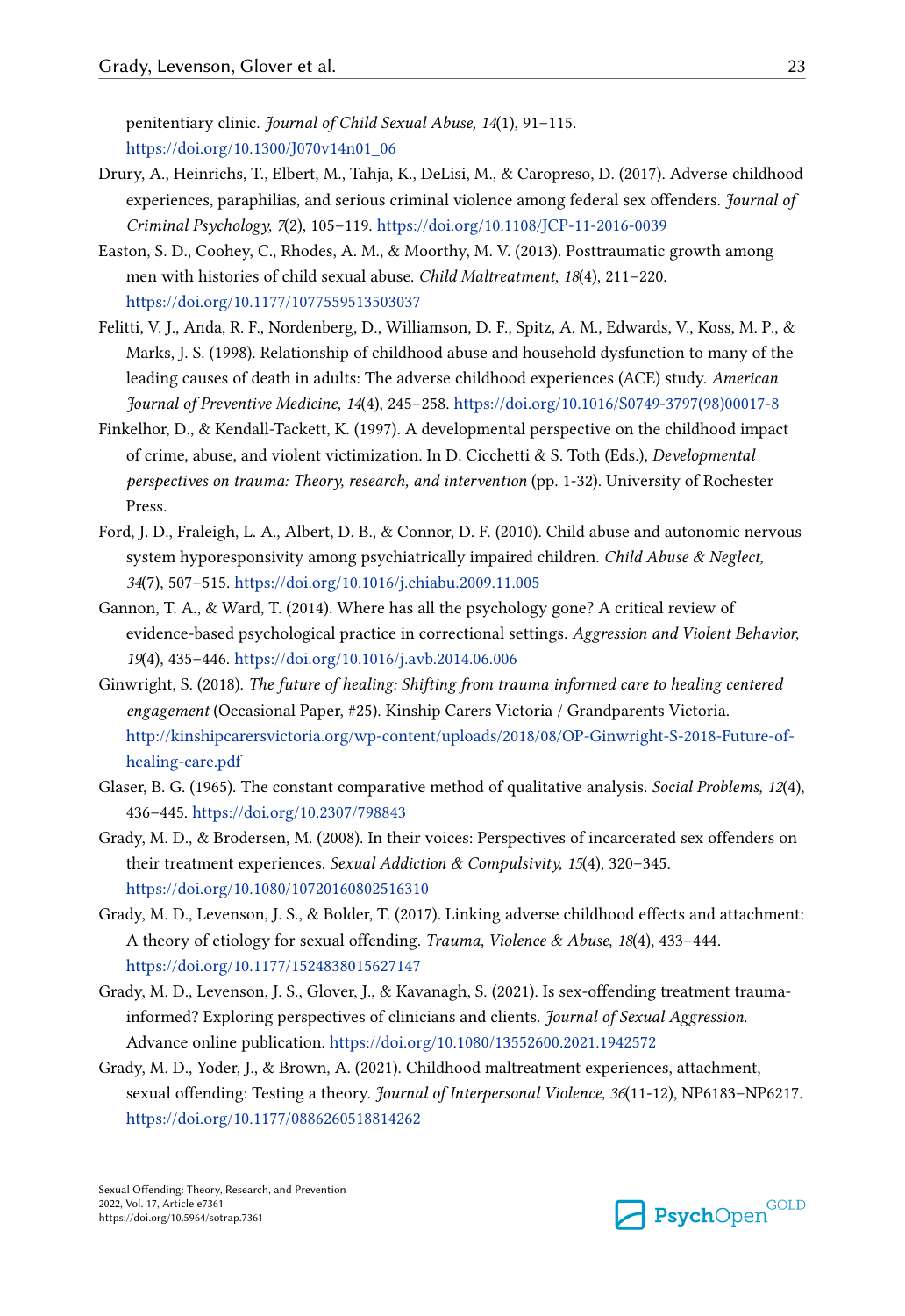<span id="page-22-0"></span>penitentiary clinic. *Journal of Child Sexual Abuse, 14*(1), 91–115. [https://doi.org/10.1300/J070v14n01\\_06](https://doi.org/10.1300/J070v14n01_06)

- Drury, A., Heinrichs, T., Elbert, M., Tahja, K., DeLisi, M., & Caropreso, D. (2017). Adverse childhood experiences, paraphilias, and serious criminal violence among federal sex offenders. *Journal of Criminal Psychology, 7*(2), 105–119. <https://doi.org/10.1108/JCP-11-2016-0039>
- Easton, S. D., Coohey, C., Rhodes, A. M., & Moorthy, M. V. (2013). Posttraumatic growth among men with histories of child sexual abuse. *Child Maltreatment, 18*(4), 211–220. <https://doi.org/10.1177/1077559513503037>
- Felitti, V. J., Anda, R. F., Nordenberg, D., Williamson, D. F., Spitz, A. M., Edwards, V., Koss, M. P., & Marks, J. S. (1998). Relationship of childhood abuse and household dysfunction to many of the leading causes of death in adults: The adverse childhood experiences (ACE) study. *American Journal of Preventive Medicine, 14*(4), 245–258. [https://doi.org/10.1016/S0749-3797\(98\)00017-8](https://doi.org/10.1016/S0749-3797(98)00017-8)
- Finkelhor, D., & Kendall-Tackett, K. (1997). A developmental perspective on the childhood impact of crime, abuse, and violent victimization. In D. Cicchetti & S. Toth (Eds.), *Developmental perspectives on trauma: Theory, research, and intervention* (pp. 1-32). University of Rochester Press.
- Ford, J. D., Fraleigh, L. A., Albert, D. B., & Connor, D. F. (2010). Child abuse and autonomic nervous system hyporesponsivity among psychiatrically impaired children. *Child Abuse & Neglect, 34*(7), 507–515.<https://doi.org/10.1016/j.chiabu.2009.11.005>
- Gannon, T. A., & Ward, T. (2014). Where has all the psychology gone? A critical review of evidence-based psychological practice in correctional settings. *Aggression and Violent Behavior, 19*(4), 435–446.<https://doi.org/10.1016/j.avb.2014.06.006>
- Ginwright, S. (2018). *The future of healing: Shifting from trauma informed care to healing centered engagement* (Occasional Paper, #25). Kinship Carers Victoria / Grandparents Victoria. [http://kinshipcarersvictoria.org/wp-content/uploads/2018/08/OP-Ginwright-S-2018-Future-of](http://kinshipcarersvictoria.org/wp-content/uploads/2018/08/OP-Ginwright-S-2018-Future-of-healing-care.pdf)[healing-care.pdf](http://kinshipcarersvictoria.org/wp-content/uploads/2018/08/OP-Ginwright-S-2018-Future-of-healing-care.pdf)
- Glaser, B. G. (1965). The constant comparative method of qualitative analysis. *Social Problems, 12*(4), 436–445.<https://doi.org/10.2307/798843>
- Grady, M. D., & Brodersen, M. (2008). In their voices: Perspectives of incarcerated sex offenders on their treatment experiences. *Sexual Addiction & Compulsivity, 15*(4), 320–345. <https://doi.org/10.1080/10720160802516310>
- Grady, M. D., Levenson, J. S., & Bolder, T. (2017). Linking adverse childhood effects and attachment: A theory of etiology for sexual offending. *Trauma, Violence & Abuse, 18*(4), 433–444. <https://doi.org/10.1177/1524838015627147>
- Grady, M. D., Levenson, J. S., Glover, J., & Kavanagh, S. (2021). Is sex-offending treatment traumainformed? Exploring perspectives of clinicians and clients. *Journal of Sexual Aggression*. Advance online publication.<https://doi.org/10.1080/13552600.2021.1942572>
- Grady, M. D., Yoder, J., & Brown, A. (2021). Childhood maltreatment experiences, attachment, sexual offending: Testing a theory. *Journal of Interpersonal Violence, 36*(11-12), NP6183–NP6217. <https://doi.org/10.1177/0886260518814262>

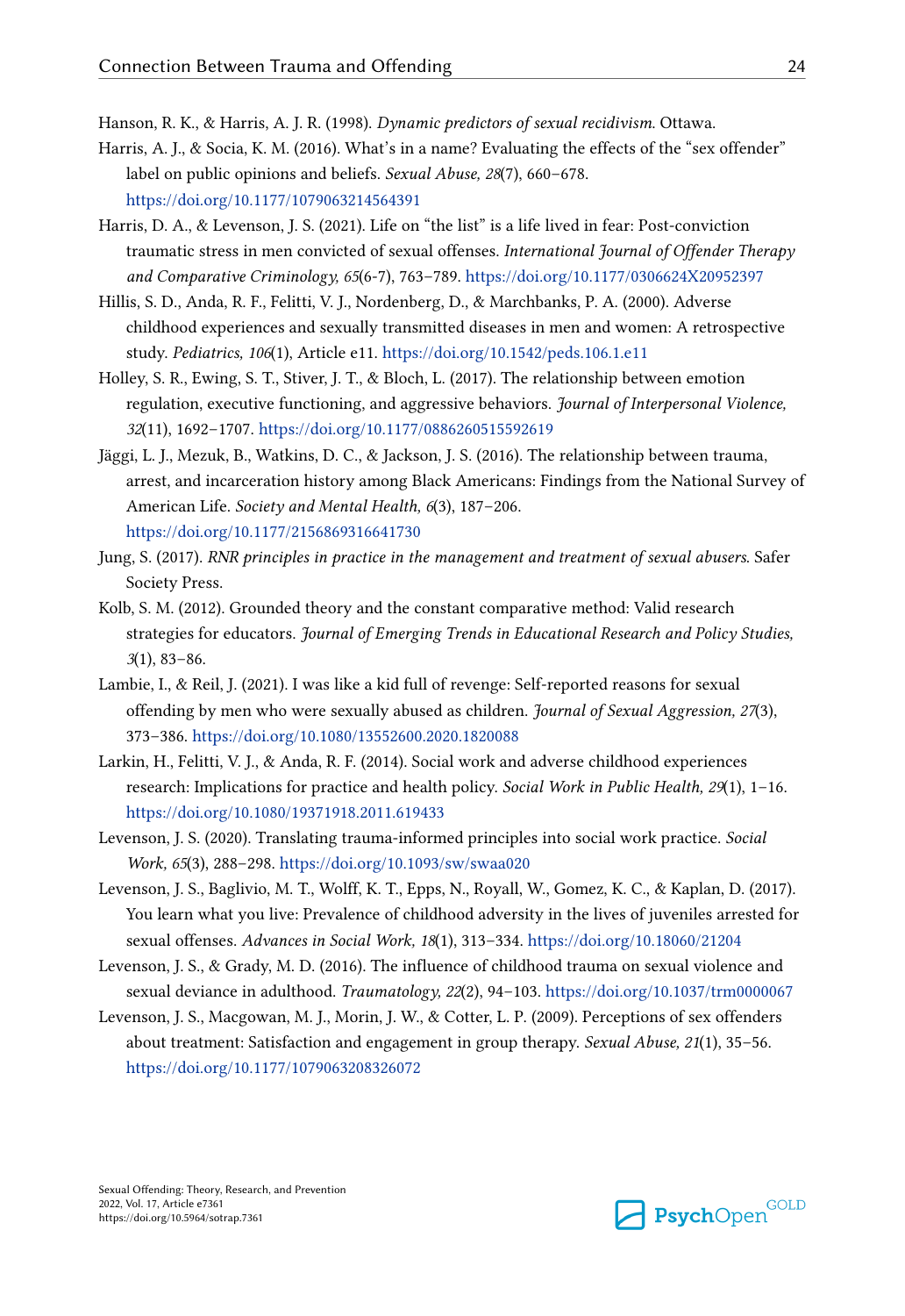<span id="page-23-0"></span>Hanson, R. K., & Harris, A. J. R. (1998). *Dynamic predictors of sexual recidivism*. Ottawa.

- Harris, A. J., & Socia, K. M. (2016). What's in a name? Evaluating the effects of the "sex offender" label on public opinions and beliefs. *Sexual Abuse, 28*(7), 660–678. <https://doi.org/10.1177/1079063214564391>
- Harris, D. A., & Levenson, J. S. (2021). Life on "the list" is a life lived in fear: Post-conviction traumatic stress in men convicted of sexual offenses. *International Journal of Offender Therapy and Comparative Criminology, 65*(6-7), 763–789. <https://doi.org/10.1177/0306624X20952397>
- Hillis, S. D., Anda, R. F., Felitti, V. J., Nordenberg, D., & Marchbanks, P. A. (2000). Adverse childhood experiences and sexually transmitted diseases in men and women: A retrospective study. *Pediatrics, 106*(1), Article e11. <https://doi.org/10.1542/peds.106.1.e11>
- Holley, S. R., Ewing, S. T., Stiver, J. T., & Bloch, L. (2017). The relationship between emotion regulation, executive functioning, and aggressive behaviors. *Journal of Interpersonal Violence, 32*(11), 1692–1707. <https://doi.org/10.1177/0886260515592619>
- Jäggi, L. J., Mezuk, B., Watkins, D. C., & Jackson, J. S. (2016). The relationship between trauma, arrest, and incarceration history among Black Americans: Findings from the National Survey of American Life. *Society and Mental Health, 6*(3), 187–206. <https://doi.org/10.1177/2156869316641730>
- Jung, S. (2017). *RNR principles in practice in the management and treatment of sexual abusers*. Safer Society Press.
- Kolb, S. M. (2012). Grounded theory and the constant comparative method: Valid research strategies for educators. *Journal of Emerging Trends in Educational Research and Policy Studies, 3*(1), 83–86.
- Lambie, I., & Reil, J. (2021). I was like a kid full of revenge: Self-reported reasons for sexual offending by men who were sexually abused as children. *Journal of Sexual Aggression, 27*(3), 373–386.<https://doi.org/10.1080/13552600.2020.1820088>
- Larkin, H., Felitti, V. J., & Anda, R. F. (2014). Social work and adverse childhood experiences research: Implications for practice and health policy. *Social Work in Public Health, 29*(1), 1–16. <https://doi.org/10.1080/19371918.2011.619433>
- Levenson, J. S. (2020). Translating trauma-informed principles into social work practice. *Social Work, 65*(3), 288–298. <https://doi.org/10.1093/sw/swaa020>
- Levenson, J. S., Baglivio, M. T., Wolff, K. T., Epps, N., Royall, W., Gomez, K. C., & Kaplan, D. (2017). You learn what you live: Prevalence of childhood adversity in the lives of juveniles arrested for sexual offenses. *Advances in Social Work, 18*(1), 313–334.<https://doi.org/10.18060/21204>
- Levenson, J. S., & Grady, M. D. (2016). The influence of childhood trauma on sexual violence and sexual deviance in adulthood. *Traumatology, 22*(2), 94–103.<https://doi.org/10.1037/trm0000067>
- Levenson, J. S., Macgowan, M. J., Morin, J. W., & Cotter, L. P. (2009). Perceptions of sex offenders about treatment: Satisfaction and engagement in group therapy. *Sexual Abuse, 21*(1), 35–56. <https://doi.org/10.1177/1079063208326072>

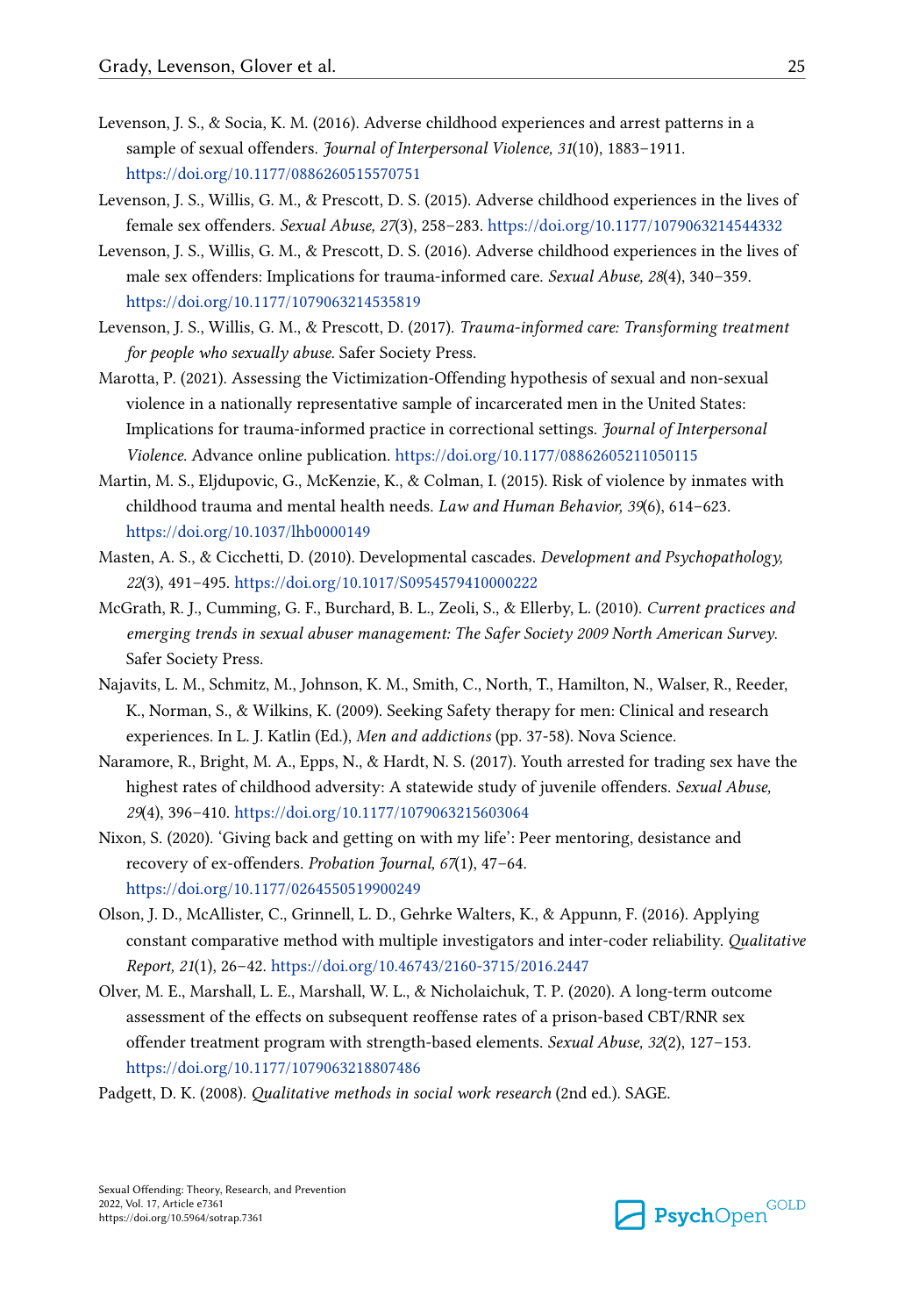- <span id="page-24-0"></span>Levenson, J. S., & Socia, K. M. (2016). Adverse childhood experiences and arrest patterns in a sample of sexual offenders. *Journal of Interpersonal Violence, 31*(10), 1883–1911. <https://doi.org/10.1177/0886260515570751>
- Levenson, J. S., Willis, G. M., & Prescott, D. S. (2015). Adverse childhood experiences in the lives of female sex offenders. *Sexual Abuse, 27*(3), 258–283.<https://doi.org/10.1177/1079063214544332>
- Levenson, J. S., Willis, G. M., & Prescott, D. S. (2016). Adverse childhood experiences in the lives of male sex offenders: Implications for trauma-informed care. *Sexual Abuse, 28*(4), 340–359. <https://doi.org/10.1177/1079063214535819>
- Levenson, J. S., Willis, G. M., & Prescott, D. (2017). *Trauma-informed care: Transforming treatment for people who sexually abuse*. Safer Society Press.
- Marotta, P. (2021). Assessing the Victimization-Offending hypothesis of sexual and non-sexual violence in a nationally representative sample of incarcerated men in the United States: Implications for trauma-informed practice in correctional settings. *Journal of Interpersonal Violence*. Advance online publication.<https://doi.org/10.1177/08862605211050115>
- Martin, M. S., Eljdupovic, G., McKenzie, K., & Colman, I. (2015). Risk of violence by inmates with childhood trauma and mental health needs. *Law and Human Behavior, 39*(6), 614–623. <https://doi.org/10.1037/lhb0000149>
- Masten, A. S., & Cicchetti, D. (2010). Developmental cascades. *Development and Psychopathology, 22*(3), 491–495.<https://doi.org/10.1017/S0954579410000222>
- McGrath, R. J., Cumming, G. F., Burchard, B. L., Zeoli, S., & Ellerby, L. (2010). *Current practices and emerging trends in sexual abuser management: The Safer Society 2009 North American Survey*. Safer Society Press.
- Najavits, L. M., Schmitz, M., Johnson, K. M., Smith, C., North, T., Hamilton, N., Walser, R., Reeder, K., Norman, S., & Wilkins, K. (2009). Seeking Safety therapy for men: Clinical and research experiences. In L. J. Katlin (Ed.), *Men and addictions* (pp. 37-58). Nova Science.
- Naramore, R., Bright, M. A., Epps, N., & Hardt, N. S. (2017). Youth arrested for trading sex have the highest rates of childhood adversity: A statewide study of juvenile offenders. *Sexual Abuse, 29*(4), 396–410.<https://doi.org/10.1177/1079063215603064>
- Nixon, S. (2020). 'Giving back and getting on with my life': Peer mentoring, desistance and recovery of ex-offenders. *Probation Journal, 67*(1), 47–64. <https://doi.org/10.1177/0264550519900249>
- Olson, J. D., McAllister, C., Grinnell, L. D., Gehrke Walters, K., & Appunn, F. (2016). Applying constant comparative method with multiple investigators and inter-coder reliability. *Qualitative Report, 21*(1), 26–42.<https://doi.org/10.46743/2160-3715/2016.2447>
- Olver, M. E., Marshall, L. E., Marshall, W. L., & Nicholaichuk, T. P. (2020). A long-term outcome assessment of the effects on subsequent reoffense rates of a prison-based CBT/RNR sex offender treatment program with strength-based elements. *Sexual Abuse, 32*(2), 127–153. <https://doi.org/10.1177/1079063218807486>

Padgett, D. K. (2008). *Qualitative methods in social work research* (2nd ed.). SAGE.

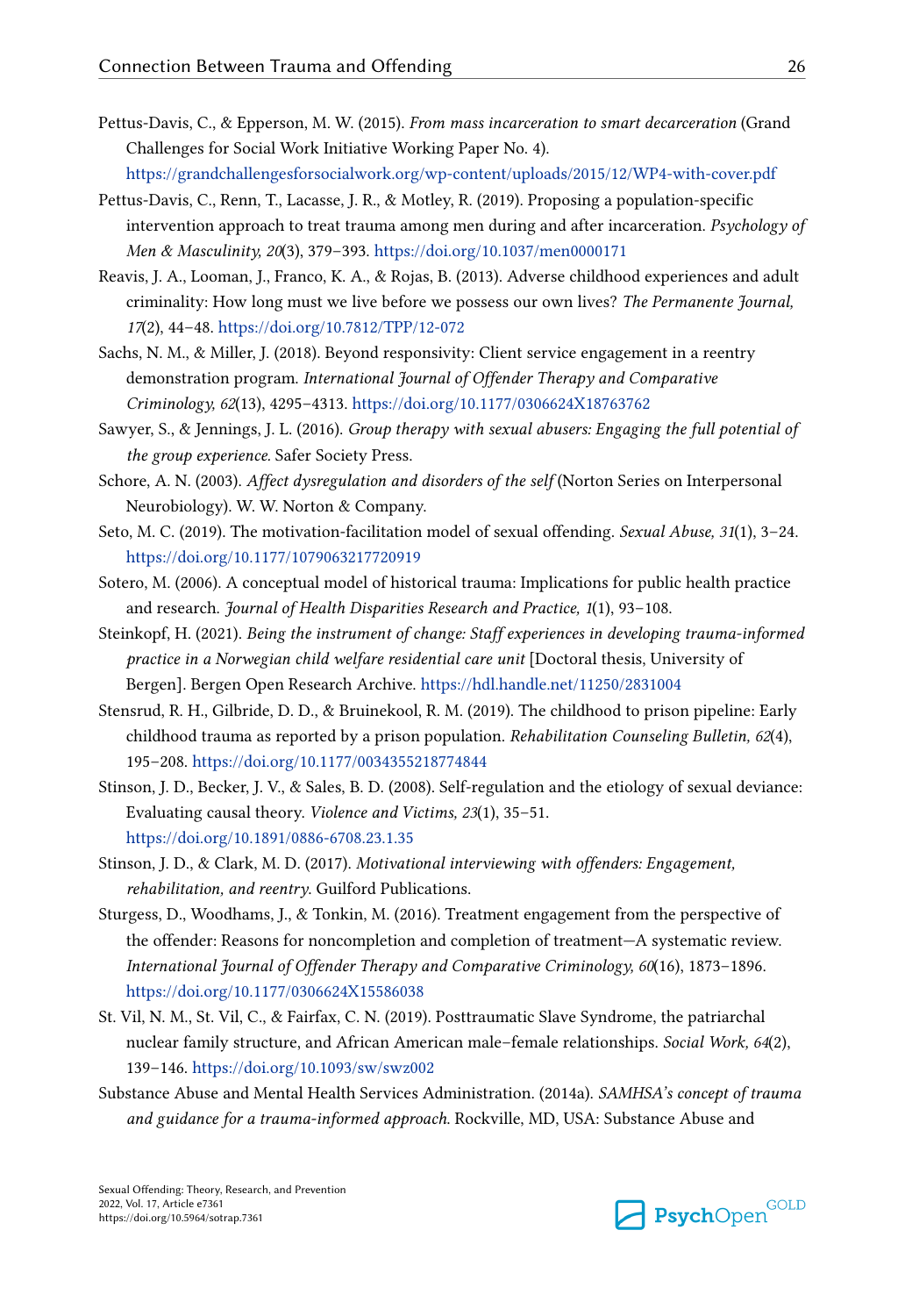- <span id="page-25-0"></span>Pettus-Davis, C., & Epperson, M. W. (2015). *From mass incarceration to smart decarceration* (Grand Challenges for Social Work Initiative Working Paper No. 4). <https://grandchallengesforsocialwork.org/wp-content/uploads/2015/12/WP4-with-cover.pdf>
- Pettus-Davis, C., Renn, T., Lacasse, J. R., & Motley, R. (2019). Proposing a population-specific intervention approach to treat trauma among men during and after incarceration. *Psychology of Men & Masculinity, 20*(3), 379–393. <https://doi.org/10.1037/men0000171>
- Reavis, J. A., Looman, J., Franco, K. A., & Rojas, B. (2013). Adverse childhood experiences and adult criminality: How long must we live before we possess our own lives? *The Permanente Journal, 17*(2), 44–48. <https://doi.org/10.7812/TPP/12-072>
- Sachs, N. M., & Miller, J. (2018). Beyond responsivity: Client service engagement in a reentry demonstration program. *International Journal of Offender Therapy and Comparative Criminology, 62*(13), 4295–4313.<https://doi.org/10.1177/0306624X18763762>
- Sawyer, S., & Jennings, J. L. (2016). *Group therapy with sexual abusers: Engaging the full potential of the group experience.* Safer Society Press.
- Schore, A. N. (2003). *Affect dysregulation and disorders of the self* (Norton Series on Interpersonal Neurobiology). W. W. Norton & Company.
- Seto, M. C. (2019). The motivation-facilitation model of sexual offending. *Sexual Abuse, 31*(1), 3–24. <https://doi.org/10.1177/1079063217720919>
- Sotero, M. (2006). A conceptual model of historical trauma: Implications for public health practice and research. *Journal of Health Disparities Research and Practice, 1*(1), 93–108.
- Steinkopf, H. (2021). *Being the instrument of change: Staff experiences in developing trauma-informed practice in a Norwegian child welfare residential care unit* [Doctoral thesis, University of Bergen]. Bergen Open Research Archive. <https://hdl.handle.net/11250/2831004>
- Stensrud, R. H., Gilbride, D. D., & Bruinekool, R. M. (2019). The childhood to prison pipeline: Early childhood trauma as reported by a prison population. *Rehabilitation Counseling Bulletin, 62*(4), 195–208.<https://doi.org/10.1177/0034355218774844>
- Stinson, J. D., Becker, J. V., & Sales, B. D. (2008). Self-regulation and the etiology of sexual deviance: Evaluating causal theory. *Violence and Victims, 23*(1), 35–51. <https://doi.org/10.1891/0886-6708.23.1.35>
- Stinson, J. D., & Clark, M. D. (2017). *Motivational interviewing with offenders: Engagement, rehabilitation, and reentry*. Guilford Publications.
- Sturgess, D., Woodhams, J., & Tonkin, M. (2016). Treatment engagement from the perspective of the offender: Reasons for noncompletion and completion of treatment—A systematic review. *International Journal of Offender Therapy and Comparative Criminology, 60*(16), 1873–1896. <https://doi.org/10.1177/0306624X15586038>
- St. Vil, N. M., St. Vil, C., & Fairfax, C. N. (2019). Posttraumatic Slave Syndrome, the patriarchal nuclear family structure, and African American male–female relationships. *Social Work, 64*(2), 139–146.<https://doi.org/10.1093/sw/swz002>
- Substance Abuse and Mental Health Services Administration. (2014a). *SAMHSA's concept of trauma and guidance for a trauma-informed approach*. Rockville, MD, USA: Substance Abuse and

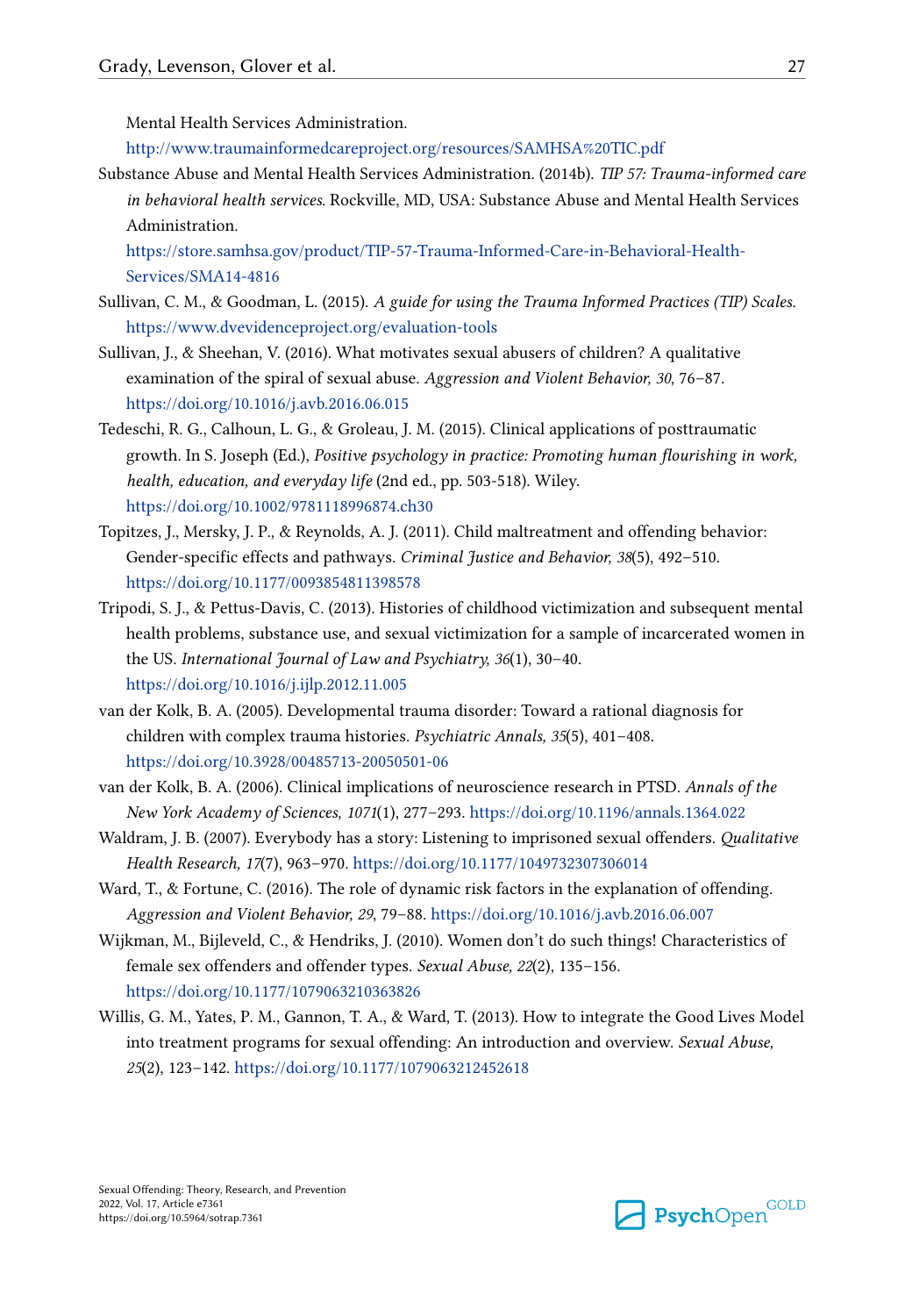<span id="page-26-0"></span>Mental Health Services Administration.

<http://www.traumainformedcareproject.org/resources/SAMHSA%20TIC.pdf>

Substance Abuse and Mental Health Services Administration. (2014b). *TIP 57: Trauma-informed care in behavioral health services*. Rockville, MD, USA: Substance Abuse and Mental Health Services Administration.

[https://store.samhsa.gov/product/TIP-57-Trauma-Informed-Care-in-Behavioral-Health-](https://store.samhsa.gov/product/TIP-57-Trauma-Informed-Care-in-Behavioral-Health-Services/SMA14-4816)[Services/SMA14-4816](https://store.samhsa.gov/product/TIP-57-Trauma-Informed-Care-in-Behavioral-Health-Services/SMA14-4816)

- Sullivan, C. M., & Goodman, L. (2015). *A guide for using the Trauma Informed Practices (TIP) Scales.*  <https://www.dvevidenceproject.org/evaluation-tools>
- Sullivan, J., & Sheehan, V. (2016). What motivates sexual abusers of children? A qualitative examination of the spiral of sexual abuse. *Aggression and Violent Behavior, 30*, 76–87. <https://doi.org/10.1016/j.avb.2016.06.015>
- Tedeschi, R. G., Calhoun, L. G., & Groleau, J. M. (2015). Clinical applications of posttraumatic growth. In S. Joseph (Ed.), *Positive psychology in practice: Promoting human flourishing in work, health, education, and everyday life* (2nd ed., pp. 503-518). Wiley. <https://doi.org/10.1002/9781118996874.ch30>
- Topitzes, J., Mersky, J. P., & Reynolds, A. J. (2011). Child maltreatment and offending behavior: Gender-specific effects and pathways. *Criminal Justice and Behavior, 38*(5), 492–510. <https://doi.org/10.1177/0093854811398578>
- Tripodi, S. J., & Pettus-Davis, C. (2013). Histories of childhood victimization and subsequent mental health problems, substance use, and sexual victimization for a sample of incarcerated women in the US. *International Journal of Law and Psychiatry, 36*(1), 30–40. <https://doi.org/10.1016/j.ijlp.2012.11.005>
- van der Kolk, B. A. (2005). Developmental trauma disorder: Toward a rational diagnosis for children with complex trauma histories. *Psychiatric Annals, 35*(5), 401–408. <https://doi.org/10.3928/00485713-20050501-06>
- van der Kolk, B. A. (2006). Clinical implications of neuroscience research in PTSD. *Annals of the New York Academy of Sciences, 1071*(1), 277–293. <https://doi.org/10.1196/annals.1364.022>
- Waldram, J. B. (2007). Everybody has a story: Listening to imprisoned sexual offenders. *Qualitative Health Research, 17*(7), 963–970. <https://doi.org/10.1177/1049732307306014>
- Ward, T., & Fortune, C. (2016). The role of dynamic risk factors in the explanation of offending. *Aggression and Violent Behavior, 29*, 79–88. <https://doi.org/10.1016/j.avb.2016.06.007>
- Wijkman, M., Bijleveld, C., & Hendriks, J. (2010). Women don't do such things! Characteristics of female sex offenders and offender types. *Sexual Abuse, 22*(2), 135–156. <https://doi.org/10.1177/1079063210363826>
- Willis, G. M., Yates, P. M., Gannon, T. A., & Ward, T. (2013). How to integrate the Good Lives Model into treatment programs for sexual offending: An introduction and overview. *Sexual Abuse, 25*(2), 123–142.<https://doi.org/10.1177/1079063212452618>